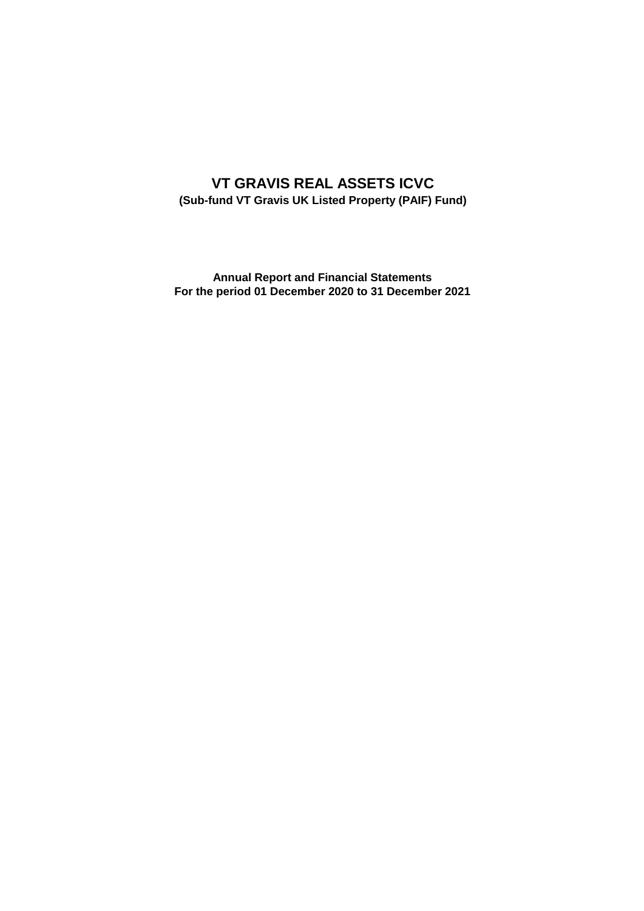# **VT GRAVIS REAL ASSETS ICVC (Sub-fund VT Gravis UK Listed Property (PAIF) Fund)**

**Annual Report and Financial Statements For the period 01 December 2020 to 31 December 2021**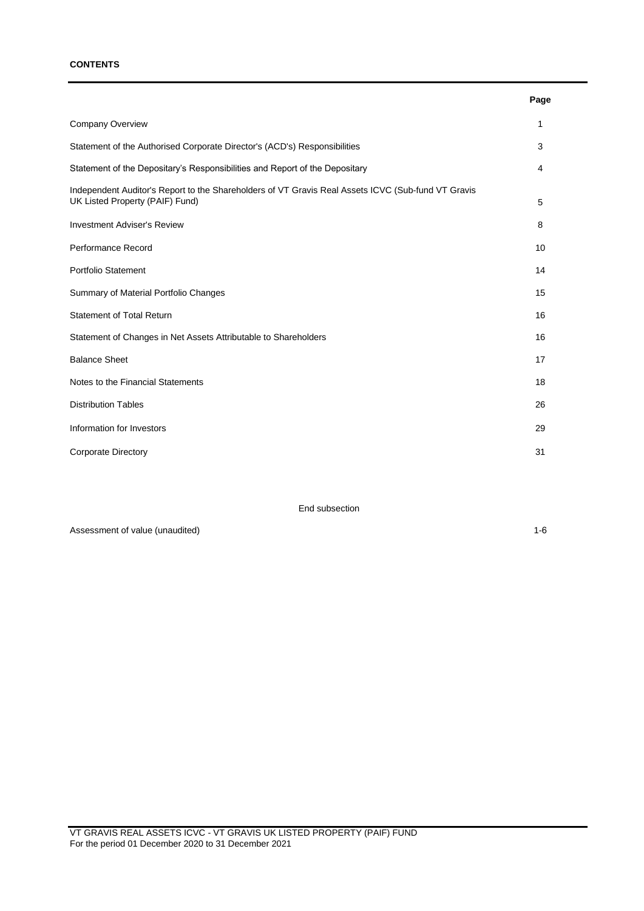### **CONTENTS**

|                                                                                                                                       | Page |
|---------------------------------------------------------------------------------------------------------------------------------------|------|
| Company Overview                                                                                                                      | 1    |
| Statement of the Authorised Corporate Director's (ACD's) Responsibilities                                                             | 3    |
| Statement of the Depositary's Responsibilities and Report of the Depositary                                                           | 4    |
| Independent Auditor's Report to the Shareholders of VT Gravis Real Assets ICVC (Sub-fund VT Gravis<br>UK Listed Property (PAIF) Fund) | 5    |
| <b>Investment Adviser's Review</b>                                                                                                    | 8    |
| Performance Record                                                                                                                    | 10   |
| <b>Portfolio Statement</b>                                                                                                            | 14   |
| Summary of Material Portfolio Changes                                                                                                 | 15   |
| <b>Statement of Total Return</b>                                                                                                      | 16   |
| Statement of Changes in Net Assets Attributable to Shareholders                                                                       | 16   |
| <b>Balance Sheet</b>                                                                                                                  | 17   |
| Notes to the Financial Statements                                                                                                     | 18   |
| <b>Distribution Tables</b>                                                                                                            | 26   |
| Information for Investors                                                                                                             | 29   |
| <b>Corporate Directory</b>                                                                                                            | 31   |

End subsection

Assessment of value (unaudited) 1-6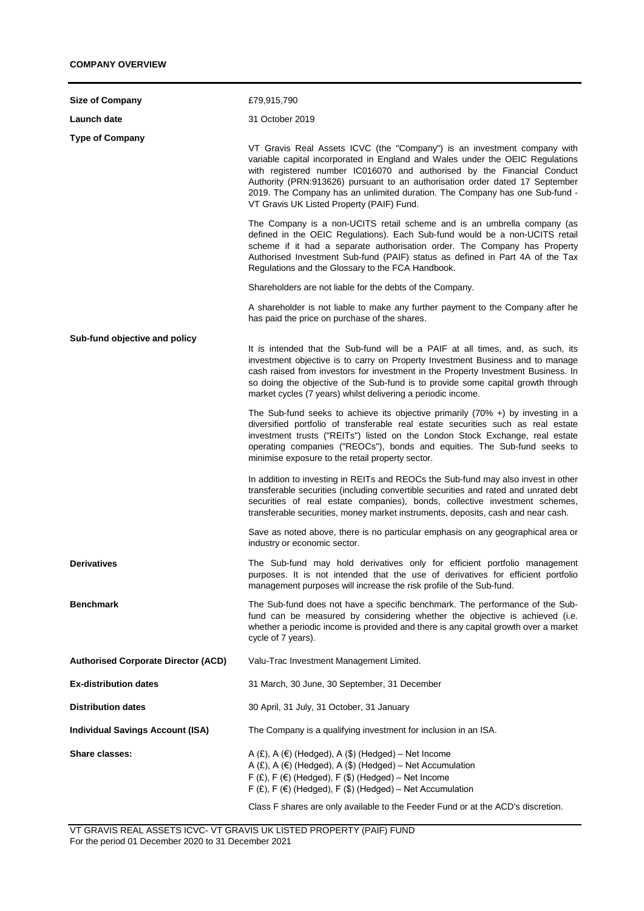| <b>Size of Company</b>                     | £79,915,790                                                                                                                                                                                                                                                                                                                                                                                                                                      |
|--------------------------------------------|--------------------------------------------------------------------------------------------------------------------------------------------------------------------------------------------------------------------------------------------------------------------------------------------------------------------------------------------------------------------------------------------------------------------------------------------------|
| Launch date                                | 31 October 2019                                                                                                                                                                                                                                                                                                                                                                                                                                  |
| <b>Type of Company</b>                     | VT Gravis Real Assets ICVC (the "Company") is an investment company with<br>variable capital incorporated in England and Wales under the OEIC Regulations<br>with registered number IC016070 and authorised by the Financial Conduct<br>Authority (PRN:913626) pursuant to an authorisation order dated 17 September<br>2019. The Company has an unlimited duration. The Company has one Sub-fund -<br>VT Gravis UK Listed Property (PAIF) Fund. |
|                                            | The Company is a non-UCITS retail scheme and is an umbrella company (as<br>defined in the OEIC Regulations). Each Sub-fund would be a non-UCITS retail<br>scheme if it had a separate authorisation order. The Company has Property<br>Authorised Investment Sub-fund (PAIF) status as defined in Part 4A of the Tax<br>Regulations and the Glossary to the FCA Handbook.                                                                        |
|                                            | Shareholders are not liable for the debts of the Company.                                                                                                                                                                                                                                                                                                                                                                                        |
|                                            | A shareholder is not liable to make any further payment to the Company after he<br>has paid the price on purchase of the shares.                                                                                                                                                                                                                                                                                                                 |
| Sub-fund objective and policy              | It is intended that the Sub-fund will be a PAIF at all times, and, as such, its<br>investment objective is to carry on Property Investment Business and to manage<br>cash raised from investors for investment in the Property Investment Business. In<br>so doing the objective of the Sub-fund is to provide some capital growth through<br>market cycles (7 years) whilst delivering a periodic income.                                       |
|                                            | The Sub-fund seeks to achieve its objective primarily $(70\% +)$ by investing in a<br>diversified portfolio of transferable real estate securities such as real estate<br>investment trusts ("REITs") listed on the London Stock Exchange, real estate<br>operating companies ("REOCs"), bonds and equities. The Sub-fund seeks to<br>minimise exposure to the retail property sector.                                                           |
|                                            | In addition to investing in REITs and REOCs the Sub-fund may also invest in other<br>transferable securities (including convertible securities and rated and unrated debt<br>securities of real estate companies), bonds, collective investment schemes,<br>transferable securities, money market instruments, deposits, cash and near cash.                                                                                                     |
|                                            | Save as noted above, there is no particular emphasis on any geographical area or<br>industry or economic sector.                                                                                                                                                                                                                                                                                                                                 |
| <b>Derivatives</b>                         | The Sub-fund may hold derivatives only for efficient portfolio management<br>purposes. It is not intended that the use of derivatives for efficient portfolio<br>management purposes will increase the risk profile of the Sub-fund.                                                                                                                                                                                                             |
| <b>Benchmark</b>                           | The Sub-fund does not have a specific benchmark. The performance of the Sub-<br>fund can be measured by considering whether the objective is achieved (i.e.<br>whether a periodic income is provided and there is any capital growth over a market<br>cycle of 7 years).                                                                                                                                                                         |
| <b>Authorised Corporate Director (ACD)</b> | Valu-Trac Investment Management Limited.                                                                                                                                                                                                                                                                                                                                                                                                         |
| <b>Ex-distribution dates</b>               | 31 March, 30 June, 30 September, 31 December                                                                                                                                                                                                                                                                                                                                                                                                     |
| <b>Distribution dates</b>                  | 30 April, 31 July, 31 October, 31 January                                                                                                                                                                                                                                                                                                                                                                                                        |
| <b>Individual Savings Account (ISA)</b>    | The Company is a qualifying investment for inclusion in an ISA.                                                                                                                                                                                                                                                                                                                                                                                  |
| <b>Share classes:</b>                      | A $(E)$ , A $(E)$ (Hedged), A $(\$)$ (Hedged) – Net Income<br>A $(E)$ , A $(E)$ (Hedged), A $(\$)$ (Hedged) – Net Accumulation<br>$F(f)$ , F $(f)$ (Hedged), F $(f)$ (Hedged) – Net Income<br>$F(E), F(E)$ (Hedged), $F(S)$ (Hedged) – Net Accumulation                                                                                                                                                                                          |
|                                            | Class F shares are only available to the Feeder Fund or at the ACD's discretion.                                                                                                                                                                                                                                                                                                                                                                 |

VT GRAVIS REAL ASSETS ICVC- VT GRAVIS UK LISTED PROPERTY (PAIF) FUND For the period 01 December 2020 to 31 December 2021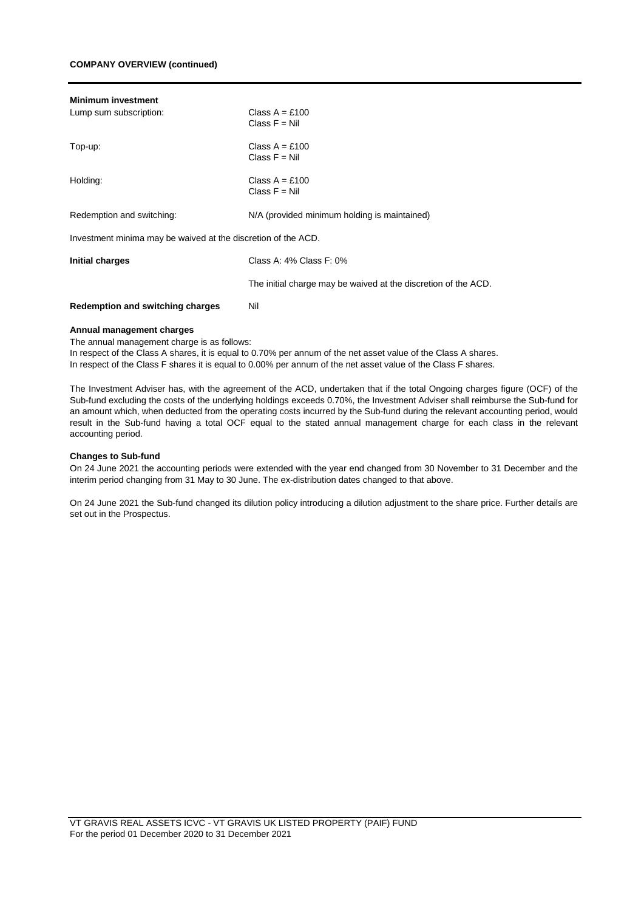## **COMPANY OVERVIEW (continued)**

| <b>Minimum investment</b><br>Lump sum subscription:           | Class $A = £100$<br>Class $F = Nil$                            |
|---------------------------------------------------------------|----------------------------------------------------------------|
| Top-up:                                                       | Class $A = £100$<br>Class $F = Nil$                            |
| Holding:                                                      | Class $A = £100$<br>Class $F = Nil$                            |
| Redemption and switching:                                     | N/A (provided minimum holding is maintained)                   |
| Investment minima may be waived at the discretion of the ACD. |                                                                |
| Initial charges                                               | Class A: $4\%$ Class F: $0\%$                                  |
|                                                               | The initial charge may be waived at the discretion of the ACD. |
| Redemption and switching charges                              | Nil                                                            |

#### **Annual management charges**

The annual management charge is as follows:

In respect of the Class A shares, it is equal to 0.70% per annum of the net asset value of the Class A shares. In respect of the Class F shares it is equal to 0.00% per annum of the net asset value of the Class F shares.

The Investment Adviser has, with the agreement of the ACD, undertaken that if the total Ongoing charges figure (OCF) of the Sub-fund excluding the costs of the underlying holdings exceeds 0.70%, the Investment Adviser shall reimburse the Sub-fund for an amount which, when deducted from the operating costs incurred by the Sub-fund during the relevant accounting period, would result in the Sub-fund having a total OCF equal to the stated annual management charge for each class in the relevant accounting period.

#### **Changes to Sub-fund**

On 24 June 2021 the accounting periods were extended with the year end changed from 30 November to 31 December and the interim period changing from 31 May to 30 June. The ex-distribution dates changed to that above.

On 24 June 2021 the Sub-fund changed its dilution policy introducing a dilution adjustment to the share price. Further details are set out in the Prospectus.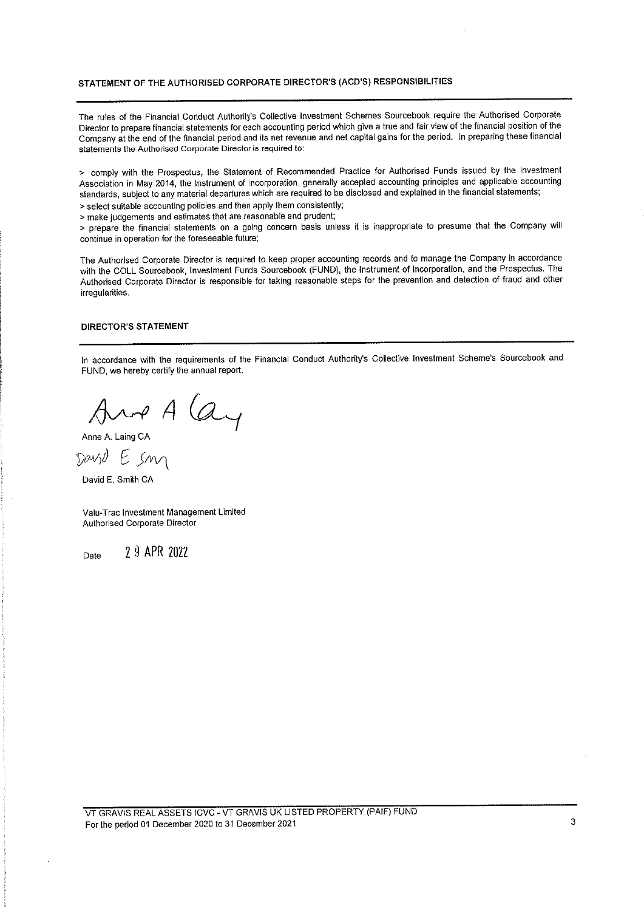### STATEMENT OF THE AUTHORISED CORPORATE DIRECTOR'S (ACD'S) RESPONSIBILITIES

The rules of the Financial Conduct Authority's Collective Investment Schemes Sourcebook require the Authorised Corporate Director to prepare financial statements for each accounting period which give a true and fair view of the financial position of the Company at the end of the financial period and its net revenue and net capital gains for the period. In preparing these financial statements the Authorised Corporate Director is required to:

> comply with the Prospectus, the Statement of Recommended Practice for Authorised Funds issued by the Investment Association in May 2014, the Instrument of Incorporation, generally accepted accounting principles and applicable accounting standards, subject to any material departures which are required to be disclosed and explained in the financial statements; > select suitable accounting policies and then apply them consistently;

> make judgements and estimates that are reasonable and prudent;

> prepare the financial statements on a going concern basis unless it is inappropriate to presume that the Company will continue in operation for the foreseeable future;

The Authorised Corporate Director is required to keep proper accounting records and to manage the Company in accordance with the COLL Sourcebook, Investment Funds Sourcebook (FUND), the Instrument of Incorporation, and the Prospectus. The Authorised Corporate Director is responsible for taking reasonable steps for the prevention and detection of fraud and other irregularities.

## **DIRECTOR'S STATEMENT**

In accordance with the requirements of the Financial Conduct Authority's Collective Investment Scheme's Sourcebook and FUND, we hereby certify the annual report.

And A (ay

David E. Smith CA

Valu-Trac Investment Management Limited Authorised Corporate Director

2 9 APR 2022 Date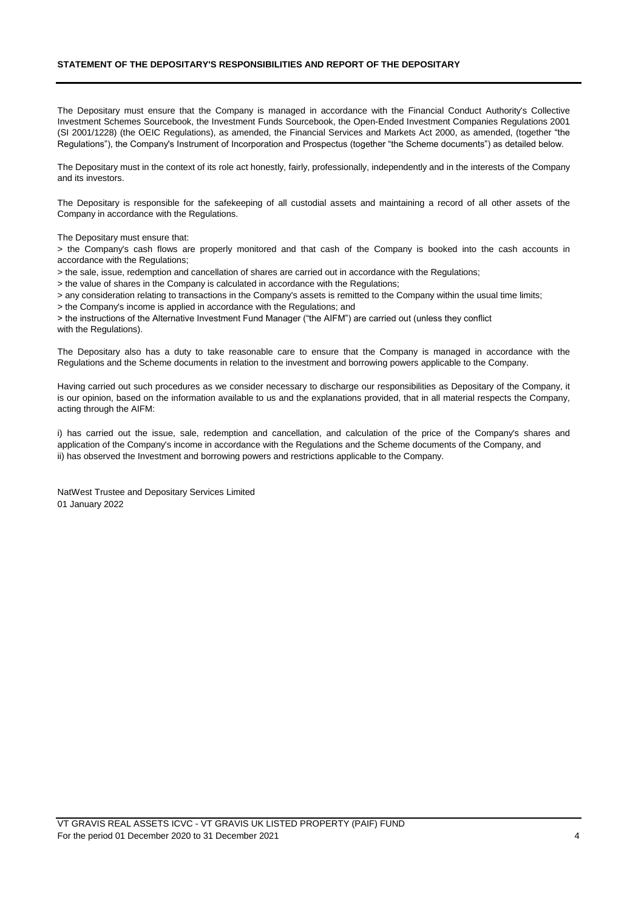## **STATEMENT OF THE DEPOSITARY'S RESPONSIBILITIES AND REPORT OF THE DEPOSITARY**

The Depositary must ensure that the Company is managed in accordance with the Financial Conduct Authority's Collective Investment Schemes Sourcebook, the Investment Funds Sourcebook, the Open-Ended Investment Companies Regulations 2001 (SI 2001/1228) (the OEIC Regulations), as amended, the Financial Services and Markets Act 2000, as amended, (together "the Regulations"), the Company's Instrument of Incorporation and Prospectus (together "the Scheme documents") as detailed below.

The Depositary must in the context of its role act honestly, fairly, professionally, independently and in the interests of the Company and its investors.

The Depositary is responsible for the safekeeping of all custodial assets and maintaining a record of all other assets of the Company in accordance with the Regulations.

The Depositary must ensure that:

> the Company's cash flows are properly monitored and that cash of the Company is booked into the cash accounts in accordance with the Regulations;

> the sale, issue, redemption and cancellation of shares are carried out in accordance with the Regulations;

> the value of shares in the Company is calculated in accordance with the Regulations;

> any consideration relating to transactions in the Company's assets is remitted to the Company within the usual time limits;

> the Company's income is applied in accordance with the Regulations; and

> the instructions of the Alternative Investment Fund Manager ("the AIFM") are carried out (unless they conflict with the Regulations).

The Depositary also has a duty to take reasonable care to ensure that the Company is managed in accordance with the Regulations and the Scheme documents in relation to the investment and borrowing powers applicable to the Company.

Having carried out such procedures as we consider necessary to discharge our responsibilities as Depositary of the Company, it is our opinion, based on the information available to us and the explanations provided, that in all material respects the Company, acting through the AIFM:

i) has carried out the issue, sale, redemption and cancellation, and calculation of the price of the Company's shares and application of the Company's income in accordance with the Regulations and the Scheme documents of the Company, and ii) has observed the Investment and borrowing powers and restrictions applicable to the Company.

NatWest Trustee and Depositary Services Limited 01 January 2022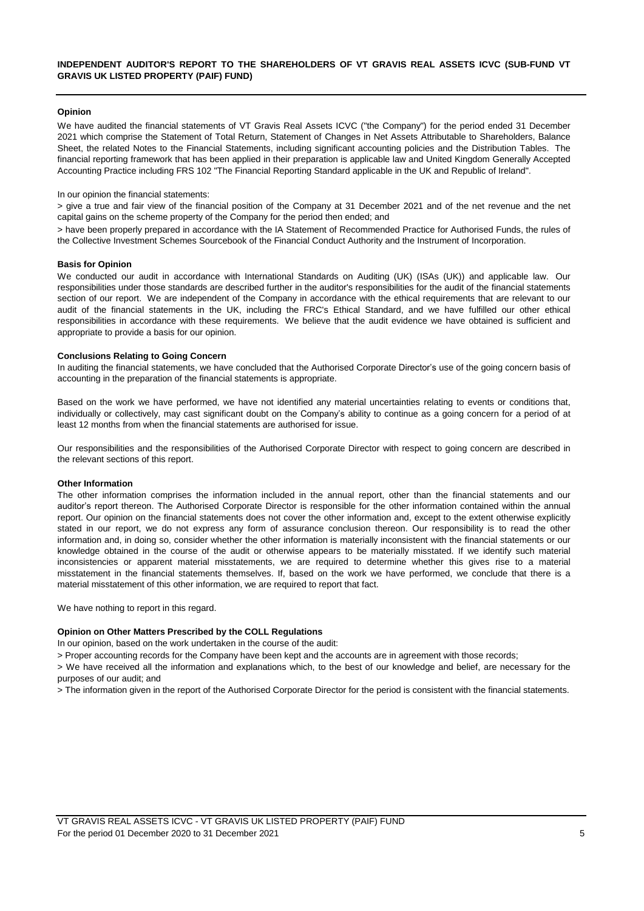## **INDEPENDENT AUDITOR'S REPORT TO THE SHAREHOLDERS OF VT GRAVIS REAL ASSETS ICVC (SUB-FUND VT GRAVIS UK LISTED PROPERTY (PAIF) FUND)**

## **Opinion**

We have audited the financial statements of VT Gravis Real Assets ICVC ("the Company") for the period ended 31 December 2021 which comprise the Statement of Total Return, Statement of Changes in Net Assets Attributable to Shareholders, Balance Sheet, the related Notes to the Financial Statements, including significant accounting policies and the Distribution Tables. The financial reporting framework that has been applied in their preparation is applicable law and United Kingdom Generally Accepted Accounting Practice including FRS 102 "The Financial Reporting Standard applicable in the UK and Republic of Ireland".

#### In our opinion the financial statements:

> give a true and fair view of the financial position of the Company at 31 December 2021 and of the net revenue and the net capital gains on the scheme property of the Company for the period then ended; and

> have been properly prepared in accordance with the IA Statement of Recommended Practice for Authorised Funds, the rules of the Collective Investment Schemes Sourcebook of the Financial Conduct Authority and the Instrument of Incorporation.

#### **Basis for Opinion**

We conducted our audit in accordance with International Standards on Auditing (UK) (ISAs (UK)) and applicable law. Our responsibilities under those standards are described further in the auditor's responsibilities for the audit of the financial statements section of our report. We are independent of the Company in accordance with the ethical requirements that are relevant to our audit of the financial statements in the UK, including the FRC's Ethical Standard, and we have fulfilled our other ethical responsibilities in accordance with these requirements. We believe that the audit evidence we have obtained is sufficient and appropriate to provide a basis for our opinion.

#### **Conclusions Relating to Going Concern**

In auditing the financial statements, we have concluded that the Authorised Corporate Director's use of the going concern basis of accounting in the preparation of the financial statements is appropriate.

Based on the work we have performed, we have not identified any material uncertainties relating to events or conditions that, individually or collectively, may cast significant doubt on the Company's ability to continue as a going concern for a period of at least 12 months from when the financial statements are authorised for issue.

Our responsibilities and the responsibilities of the Authorised Corporate Director with respect to going concern are described in the relevant sections of this report.

#### **Other Information**

The other information comprises the information included in the annual report, other than the financial statements and our auditor's report thereon. The Authorised Corporate Director is responsible for the other information contained within the annual report. Our opinion on the financial statements does not cover the other information and, except to the extent otherwise explicitly stated in our report, we do not express any form of assurance conclusion thereon. Our responsibility is to read the other information and, in doing so, consider whether the other information is materially inconsistent with the financial statements or our knowledge obtained in the course of the audit or otherwise appears to be materially misstated. If we identify such material inconsistencies or apparent material misstatements, we are required to determine whether this gives rise to a material misstatement in the financial statements themselves. If, based on the work we have performed, we conclude that there is a material misstatement of this other information, we are required to report that fact.

We have nothing to report in this regard.

#### **Opinion on Other Matters Prescribed by the COLL Regulations**

In our opinion, based on the work undertaken in the course of the audit:

> Proper accounting records for the Company have been kept and the accounts are in agreement with those records;

> We have received all the information and explanations which, to the best of our knowledge and belief, are necessary for the purposes of our audit; and

> The information given in the report of the Authorised Corporate Director for the period is consistent with the financial statements.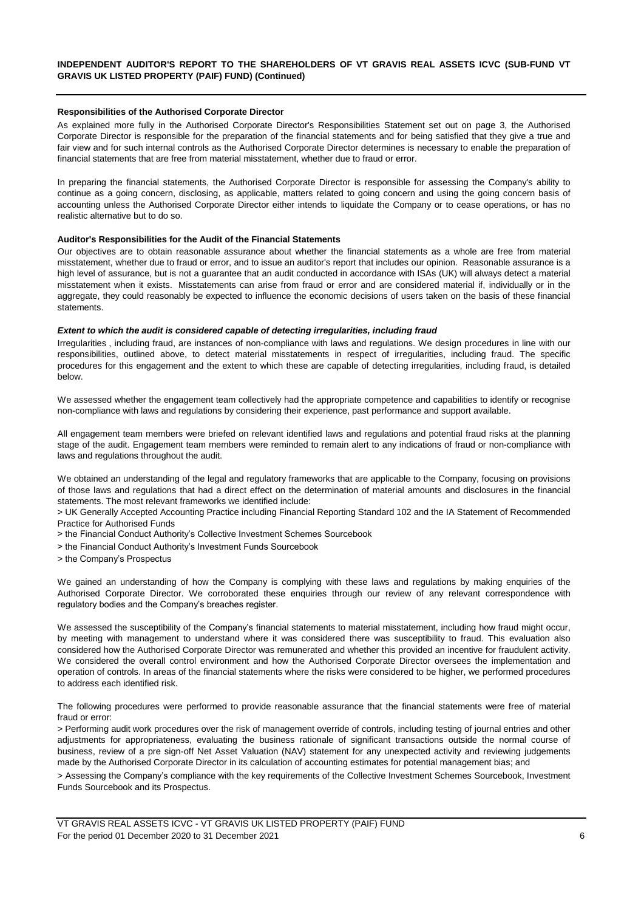#### **Responsibilities of the Authorised Corporate Director**

As explained more fully in the Authorised Corporate Director's Responsibilities Statement set out on page 3, the Authorised Corporate Director is responsible for the preparation of the financial statements and for being satisfied that they give a true and fair view and for such internal controls as the Authorised Corporate Director determines is necessary to enable the preparation of financial statements that are free from material misstatement, whether due to fraud or error.

In preparing the financial statements, the Authorised Corporate Director is responsible for assessing the Company's ability to continue as a going concern, disclosing, as applicable, matters related to going concern and using the going concern basis of accounting unless the Authorised Corporate Director either intends to liquidate the Company or to cease operations, or has no realistic alternative but to do so.

#### **Auditor's Responsibilities for the Audit of the Financial Statements**

Our objectives are to obtain reasonable assurance about whether the financial statements as a whole are free from material misstatement, whether due to fraud or error, and to issue an auditor's report that includes our opinion. Reasonable assurance is a high level of assurance, but is not a quarantee that an audit conducted in accordance with ISAs (UK) will always detect a material misstatement when it exists. Misstatements can arise from fraud or error and are considered material if, individually or in the aggregate, they could reasonably be expected to influence the economic decisions of users taken on the basis of these financial statements.

#### *Extent to which the audit is considered capable of detecting irregularities, including fraud*

Irregularities , including fraud, are instances of non-compliance with laws and regulations. We design procedures in line with our responsibilities, outlined above, to detect material misstatements in respect of irregularities, including fraud. The specific procedures for this engagement and the extent to which these are capable of detecting irregularities, including fraud, is detailed below.

We assessed whether the engagement team collectively had the appropriate competence and capabilities to identify or recognise non-compliance with laws and regulations by considering their experience, past performance and support available.

All engagement team members were briefed on relevant identified laws and regulations and potential fraud risks at the planning stage of the audit. Engagement team members were reminded to remain alert to any indications of fraud or non-compliance with laws and regulations throughout the audit.

We obtained an understanding of the legal and regulatory frameworks that are applicable to the Company, focusing on provisions of those laws and regulations that had a direct effect on the determination of material amounts and disclosures in the financial statements. The most relevant frameworks we identified include:

> UK Generally Accepted Accounting Practice including Financial Reporting Standard 102 and the IA Statement of Recommended Practice for Authorised Funds

- > the Financial Conduct Authority's Collective Investment Schemes Sourcebook
- > the Financial Conduct Authority's Investment Funds Sourcebook
- > the Company's Prospectus

We gained an understanding of how the Company is complying with these laws and regulations by making enquiries of the Authorised Corporate Director. We corroborated these enquiries through our review of any relevant correspondence with regulatory bodies and the Company's breaches register.

We assessed the susceptibility of the Company's financial statements to material misstatement, including how fraud might occur, by meeting with management to understand where it was considered there was susceptibility to fraud. This evaluation also considered how the Authorised Corporate Director was remunerated and whether this provided an incentive for fraudulent activity. We considered the overall control environment and how the Authorised Corporate Director oversees the implementation and operation of controls. In areas of the financial statements where the risks were considered to be higher, we performed procedures to address each identified risk.

The following procedures were performed to provide reasonable assurance that the financial statements were free of material fraud or error:

> Performing audit work procedures over the risk of management override of controls, including testing of journal entries and other adjustments for appropriateness, evaluating the business rationale of significant transactions outside the normal course of business, review of a pre sign-off Net Asset Valuation (NAV) statement for any unexpected activity and reviewing judgements made by the Authorised Corporate Director in its calculation of accounting estimates for potential management bias; and

> Assessing the Company's compliance with the key requirements of the Collective Investment Schemes Sourcebook, Investment Funds Sourcebook and its Prospectus.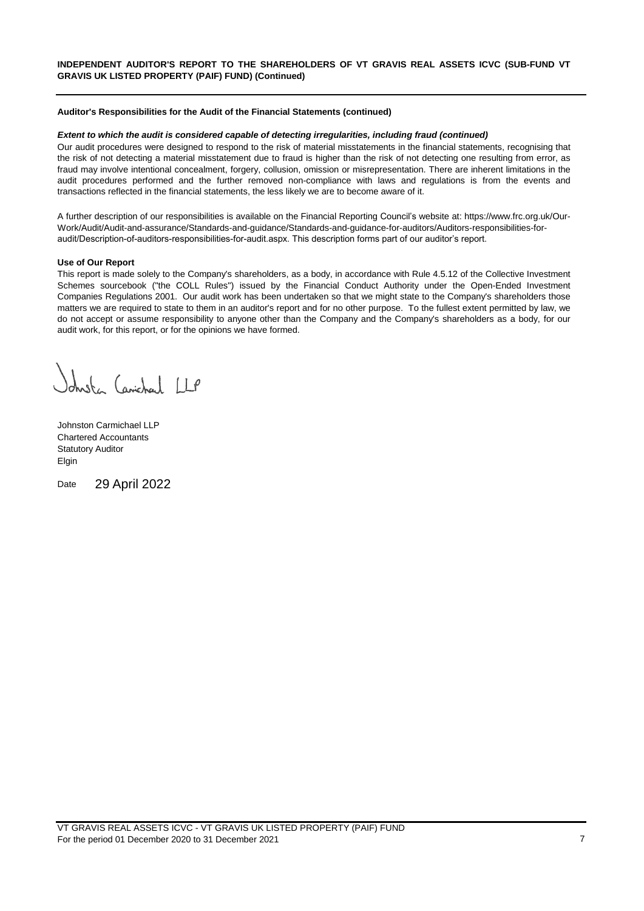### **Auditor's Responsibilities for the Audit of the Financial Statements (continued)**

#### *Extent to which the audit is considered capable of detecting irregularities, including fraud (continued)*

Our audit procedures were designed to respond to the risk of material misstatements in the financial statements, recognising that the risk of not detecting a material misstatement due to fraud is higher than the risk of not detecting one resulting from error, as fraud may involve intentional concealment, forgery, collusion, omission or misrepresentation. There are inherent limitations in the audit procedures performed and the further removed non-compliance with laws and regulations is from the events and transactions reflected in the financial statements, the less likely we are to become aware of it.

A further description of our responsibilities is available on the Financial Reporting Council's website at: https://www.frc.org.uk/Our-Work/Audit/Audit-and-assurance/Standards-and-guidance/Standards-and-guidance-for-auditors/Auditors-responsibilities-foraudit/Description-of-auditors-responsibilities-for-audit.aspx. This description forms part of our auditor's report.

#### **Use of Our Report**

This report is made solely to the Company's shareholders, as a body, in accordance with Rule 4.5.12 of the Collective Investment Schemes sourcebook ("the COLL Rules") issued by the Financial Conduct Authority under the Open-Ended Investment Companies Regulations 2001. Our audit work has been undertaken so that we might state to the Company's shareholders those matters we are required to state to them in an auditor's report and for no other purpose. To the fullest extent permitted by law, we do not accept or assume responsibility to anyone other than the Company and the Company's shareholders as a body, for our audit work, for this report, or for the opinions we have formed.

dust Carichael LLP

Johnston Carmichael LLP Chartered Accountants Statutory Auditor Elgin

Date 29 April 2022

VT GRAVIS REAL ASSETS ICVC - VT GRAVIS UK LISTED PROPERTY (PAIF) FUND For the period 01 December 2020 to 31 December 2021 7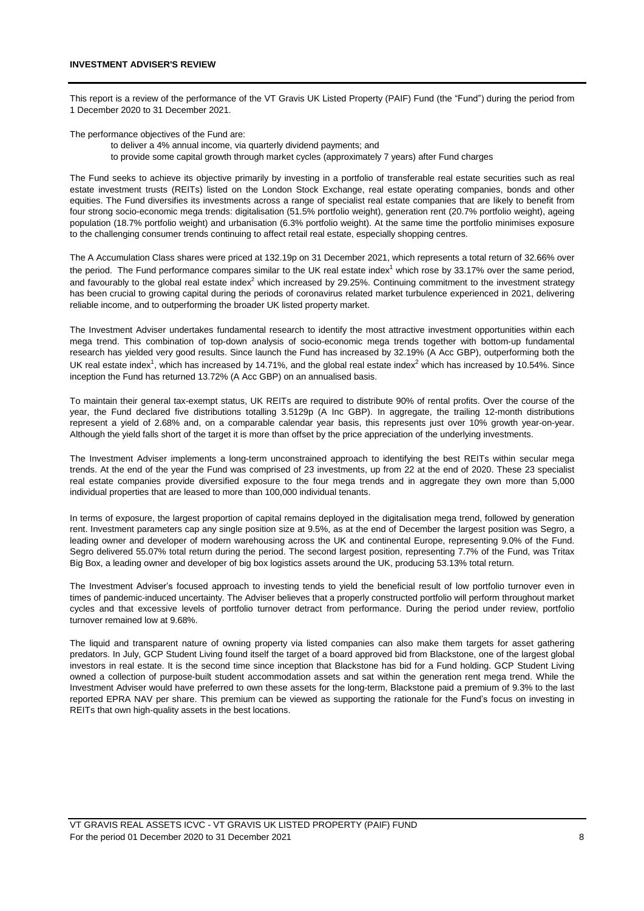This report is a review of the performance of the VT Gravis UK Listed Property (PAIF) Fund (the "Fund") during the period from 1 December 2020 to 31 December 2021.

The performance objectives of the Fund are:

to deliver a 4% annual income, via quarterly dividend payments; and to provide some capital growth through market cycles (approximately 7 years) after Fund charges

The Fund seeks to achieve its objective primarily by investing in a portfolio of transferable real estate securities such as real estate investment trusts (REITs) listed on the London Stock Exchange, real estate operating companies, bonds and other equities. The Fund diversifies its investments across a range of specialist real estate companies that are likely to benefit from four strong socio-economic mega trends: digitalisation (51.5% portfolio weight), generation rent (20.7% portfolio weight), ageing population (18.7% portfolio weight) and urbanisation (6.3% portfolio weight). At the same time the portfolio minimises exposure to the challenging consumer trends continuing to affect retail real estate, especially shopping centres.

The A Accumulation Class shares were priced at 132.19p on 31 December 2021, which represents a total return of 32.66% over the period. The Fund performance compares similar to the UK real estate index<sup>1</sup> which rose by 33.17% over the same period. and favourably to the global real estate index $2$  which increased by 29.25%. Continuing commitment to the investment strategy has been crucial to growing capital during the periods of coronavirus related market turbulence experienced in 2021, delivering reliable income, and to outperforming the broader UK listed property market.

The Investment Adviser undertakes fundamental research to identify the most attractive investment opportunities within each mega trend. This combination of top-down analysis of socio-economic mega trends together with bottom-up fundamental research has yielded very good results. Since launch the Fund has increased by 32.19% (A Acc GBP), outperforming both the UK real estate index<sup>1</sup>, which has increased by 14.71%, and the global real estate index<sup>2</sup> which has increased by 10.54%. Since inception the Fund has returned 13.72% (A Acc GBP) on an annualised basis.

To maintain their general tax-exempt status, UK REITs are required to distribute 90% of rental profits. Over the course of the year, the Fund declared five distributions totalling 3.5129p (A Inc GBP). In aggregate, the trailing 12-month distributions represent a yield of 2.68% and, on a comparable calendar year basis, this represents just over 10% growth year-on-year. Although the yield falls short of the target it is more than offset by the price appreciation of the underlying investments.

The Investment Adviser implements a long-term unconstrained approach to identifying the best REITs within secular mega trends. At the end of the year the Fund was comprised of 23 investments, up from 22 at the end of 2020. These 23 specialist real estate companies provide diversified exposure to the four mega trends and in aggregate they own more than 5,000 individual properties that are leased to more than 100,000 individual tenants.

In terms of exposure, the largest proportion of capital remains deployed in the digitalisation mega trend, followed by generation rent. Investment parameters cap any single position size at 9.5%, as at the end of December the largest position was Segro, a leading owner and developer of modern warehousing across the UK and continental Europe, representing 9.0% of the Fund. Segro delivered 55.07% total return during the period. The second largest position, representing 7.7% of the Fund, was Tritax Big Box, a leading owner and developer of big box logistics assets around the UK, producing 53.13% total return.

The Investment Adviser's focused approach to investing tends to yield the beneficial result of low portfolio turnover even in times of pandemic-induced uncertainty. The Adviser believes that a properly constructed portfolio will perform throughout market cycles and that excessive levels of portfolio turnover detract from performance. During the period under review, portfolio turnover remained low at 9.68%.

The liquid and transparent nature of owning property via listed companies can also make them targets for asset gathering predators. In July, GCP Student Living found itself the target of a board approved bid from Blackstone, one of the largest global investors in real estate. It is the second time since inception that Blackstone has bid for a Fund holding. GCP Student Living owned a collection of purpose-built student accommodation assets and sat within the generation rent mega trend. While the Investment Adviser would have preferred to own these assets for the long-term, Blackstone paid a premium of 9.3% to the last reported EPRA NAV per share. This premium can be viewed as supporting the rationale for the Fund's focus on investing in REITs that own high-quality assets in the best locations.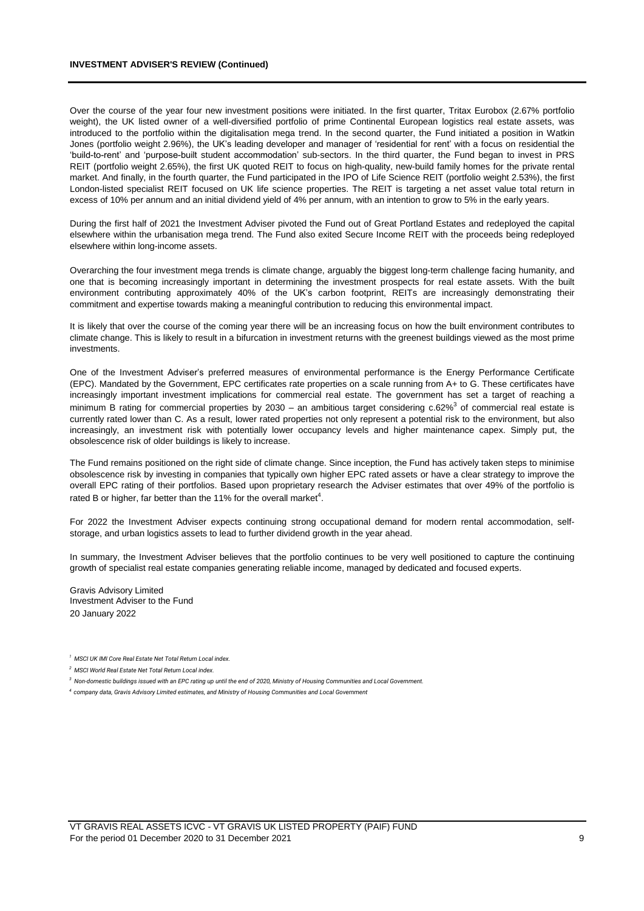#### **INVESTMENT ADVISER'S REVIEW (Continued)**

Over the course of the year four new investment positions were initiated. In the first quarter, Tritax Eurobox (2.67% portfolio weight), the UK listed owner of a well-diversified portfolio of prime Continental European logistics real estate assets, was introduced to the portfolio within the digitalisation mega trend. In the second quarter, the Fund initiated a position in Watkin Jones (portfolio weight 2.96%), the UK's leading developer and manager of 'residential for rent' with a focus on residential the 'build-to-rent' and 'purpose-built student accommodation' sub-sectors. In the third quarter, the Fund began to invest in PRS REIT (portfolio weight 2.65%), the first UK quoted REIT to focus on high-quality, new-build family homes for the private rental market. And finally, in the fourth quarter, the Fund participated in the IPO of Life Science REIT (portfolio weight 2.53%), the first London-listed specialist REIT focused on UK life science properties. The REIT is targeting a net asset value total return in excess of 10% per annum and an initial dividend yield of 4% per annum, with an intention to grow to 5% in the early years.

During the first half of 2021 the Investment Adviser pivoted the Fund out of Great Portland Estates and redeployed the capital elsewhere within the urbanisation mega trend. The Fund also exited Secure Income REIT with the proceeds being redeployed elsewhere within long-income assets.

Overarching the four investment mega trends is climate change, arguably the biggest long-term challenge facing humanity, and one that is becoming increasingly important in determining the investment prospects for real estate assets. With the built environment contributing approximately 40% of the UK's carbon footprint, REITs are increasingly demonstrating their commitment and expertise towards making a meaningful contribution to reducing this environmental impact.

It is likely that over the course of the coming year there will be an increasing focus on how the built environment contributes to climate change. This is likely to result in a bifurcation in investment returns with the greenest buildings viewed as the most prime investments.

One of the Investment Adviser's preferred measures of environmental performance is the Energy Performance Certificate (EPC). Mandated by the Government, EPC certificates rate properties on a scale running from A+ to G. These certificates have increasingly important investment implications for commercial real estate. The government has set a target of reaching a minimum B rating for commercial properties by 2030 – an ambitious target considering  $c.62\%$ <sup>3</sup> of commercial real estate is currently rated lower than C. As a result, lower rated properties not only represent a potential risk to the environment, but also increasingly, an investment risk with potentially lower occupancy levels and higher maintenance capex. Simply put, the obsolescence risk of older buildings is likely to increase.

The Fund remains positioned on the right side of climate change. Since inception, the Fund has actively taken steps to minimise obsolescence risk by investing in companies that typically own higher EPC rated assets or have a clear strategy to improve the overall EPC rating of their portfolios. Based upon proprietary research the Adviser estimates that over 49% of the portfolio is rated B or higher, far better than the 11% for the overall market<sup>4</sup>.

For 2022 the Investment Adviser expects continuing strong occupational demand for modern rental accommodation, selfstorage, and urban logistics assets to lead to further dividend growth in the year ahead.

In summary, the Investment Adviser believes that the portfolio continues to be very well positioned to capture the continuing growth of specialist real estate companies generating reliable income, managed by dedicated and focused experts.

Gravis Advisory Limited Investment Adviser to the Fund 20 January 2022

*<sup>4</sup>company data, Gravis Advisory Limited estimates, and Ministry of Housing Communities and Local Government*

*<sup>1</sup> MSCI UK IMI Core Real Estate Net Total Return Local index.* 

*<sup>2</sup> MSCI World Real Estate Net Total Return Local index.* 

*<sup>3</sup> Non-domestic buildings issued with an EPC rating up until the end of 2020, Ministry of Housing Communities and Local Government.*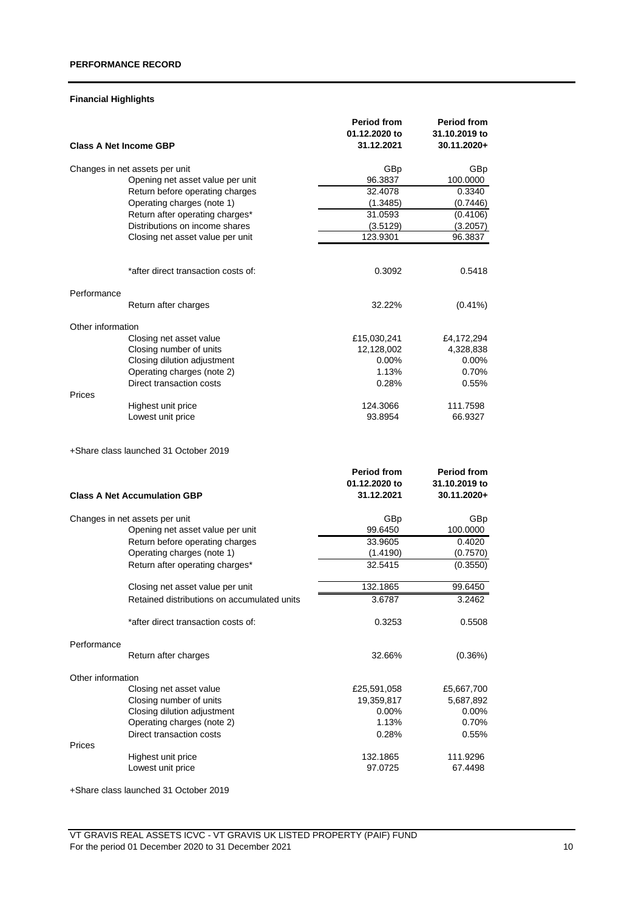## **Financial Highlights**

|                               |                                             | <b>Period from</b> | <b>Period from</b> |
|-------------------------------|---------------------------------------------|--------------------|--------------------|
|                               |                                             | 01.12.2020 to      | 31.10.2019 to      |
| <b>Class A Net Income GBP</b> |                                             | 31.12.2021         | 30.11.2020+        |
|                               | Changes in net assets per unit              | GBp                | GBp                |
|                               | Opening net asset value per unit            | 96.3837            | 100.0000           |
|                               | Return before operating charges             | 32.4078            | 0.3340             |
|                               | Operating charges (note 1)                  | (1.3485)           | (0.7446)           |
|                               | Return after operating charges*             | 31.0593            | (0.4106)           |
|                               | Distributions on income shares              | (3.5129)           | (3.2057)           |
|                               | Closing net asset value per unit            | 123.9301           | 96.3837            |
|                               |                                             |                    |                    |
|                               | *after direct transaction costs of:         | 0.3092             | 0.5418             |
| Performance                   |                                             |                    |                    |
|                               | Return after charges                        | 32.22%             | $(0.41\%)$         |
| Other information             |                                             |                    |                    |
|                               | Closing net asset value                     | £15,030,241        | £4,172,294         |
|                               | Closing number of units                     | 12,128,002         | 4,328,838          |
|                               | Closing dilution adjustment                 | $0.00\%$           | $0.00\%$           |
|                               | Operating charges (note 2)                  | 1.13%              | 0.70%              |
| Prices                        | Direct transaction costs                    | 0.28%              | 0.55%              |
|                               | Highest unit price                          | 124.3066           | 111.7598           |
|                               | Lowest unit price                           | 93.8954            | 66.9327            |
|                               | +Share class launched 31 October 2019       | <b>Period from</b> | Period from        |
|                               |                                             |                    |                    |
|                               |                                             | 01.12.2020 to      | 31.10.2019 to      |
|                               | <b>Class A Net Accumulation GBP</b>         | 31.12.2021         | 30.11.2020+        |
|                               | Changes in net assets per unit              | GBp                | GBp                |
|                               | Opening net asset value per unit            | 99.6450            | 100.0000           |
|                               | Return before operating charges             | 33.9605            | 0.4020             |
|                               | Operating charges (note 1)                  | (1.4190)           | (0.7570)           |
|                               | Return after operating charges*             | 32.5415            | (0.3550)           |
|                               | Closing net asset value per unit            | 132.1865           | 99.6450            |
|                               | Retained distributions on accumulated units | 3.6787             | 3.2462             |
|                               |                                             |                    |                    |
|                               | *after direct transaction costs of:         | 0.3253             | 0.5508             |
| Performance                   |                                             |                    |                    |
|                               | Return after charges                        | 32.66%             | $(0.36\%)$         |
| Other information             |                                             |                    |                    |
|                               | Closing net asset value                     | £25,591,058        | £5,667,700         |
|                               | Closing number of units                     | 19,359,817         | 5,687,892          |
|                               | Closing dilution adjustment                 | 0.00%              | $0.00\%$           |
|                               | Operating charges (note 2)                  | 1.13%              | 0.70%              |
|                               | Direct transaction costs                    | 0.28%              | $0.55\%$           |
| Prices                        | Highest unit price                          | 132.1865           | 111.9296           |
|                               |                                             | 97.0725            | 67.4498            |
|                               | Lowest unit price                           |                    |                    |

+Share class launched 31 October 2019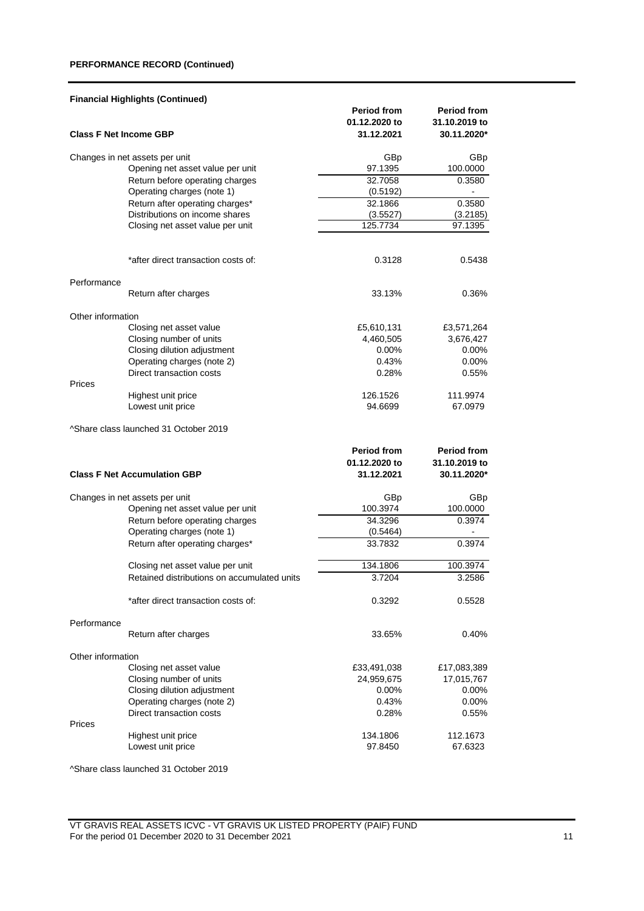## **PERFORMANCE RECORD (Continued)**

|                               | <b>Financial Highlights (Continued)</b>     |                                     |                                     |
|-------------------------------|---------------------------------------------|-------------------------------------|-------------------------------------|
|                               |                                             | <b>Period from</b><br>01.12.2020 to | <b>Period from</b><br>31.10.2019 to |
| <b>Class F Net Income GBP</b> |                                             | 31.12.2021                          | 30.11.2020*                         |
|                               | Changes in net assets per unit              | GBp                                 | GBp                                 |
|                               | Opening net asset value per unit            | 97.1395                             | 100.0000                            |
|                               | Return before operating charges             | 32.7058                             | 0.3580                              |
|                               | Operating charges (note 1)                  | (0.5192)                            |                                     |
|                               | Return after operating charges*             | 32.1866                             | 0.3580                              |
|                               | Distributions on income shares              | (3.5527)                            | (3.2185)                            |
|                               | Closing net asset value per unit            | 125.7734                            | 97.1395                             |
|                               | *after direct transaction costs of:         | 0.3128                              | 0.5438                              |
|                               |                                             |                                     |                                     |
| Performance                   | Return after charges                        | 33.13%                              | 0.36%                               |
|                               |                                             |                                     |                                     |
| Other information             |                                             |                                     |                                     |
|                               | Closing net asset value                     | £5,610,131                          | £3,571,264                          |
|                               | Closing number of units                     | 4,460,505                           | 3,676,427                           |
|                               | Closing dilution adjustment                 | $0.00\%$                            | $0.00\%$                            |
|                               | Operating charges (note 2)                  | 0.43%                               | 0.00%                               |
| Prices                        | Direct transaction costs                    | 0.28%                               | 0.55%                               |
|                               | Highest unit price                          | 126.1526                            | 111.9974                            |
|                               | Lowest unit price                           | 94.6699                             | 67.0979                             |
|                               | ^Share class launched 31 October 2019       |                                     |                                     |
|                               |                                             | <b>Period from</b>                  | <b>Period from</b>                  |
|                               |                                             | 01.12.2020 to                       | 31.10.2019 to                       |
|                               | <b>Class F Net Accumulation GBP</b>         | 31.12.2021                          | 30.11.2020*                         |
|                               | Changes in net assets per unit              | GBp                                 | GBp                                 |
|                               | Opening net asset value per unit            | 100.3974                            | 100.0000                            |
|                               | Return before operating charges             | 34.3296                             | 0.3974                              |
|                               | Operating charges (note 1)                  | (0.5464)                            |                                     |
|                               | Return after operating charges*             | 33.7832                             | 0.3974                              |
|                               | Closing net asset value per unit            | 134.1806                            | 100.3974                            |
|                               | Retained distributions on accumulated units | 3.7204                              | 3.2586                              |
|                               | *after direct transaction costs of:         | 0.3292                              | 0.5528                              |
| Performance                   |                                             |                                     |                                     |
|                               | Return after charges                        | 33.65%                              | $0.40\%$                            |
| Other information             |                                             |                                     |                                     |
|                               | Closing net asset value                     | £33,491,038                         | £17,083,389                         |
|                               | Closing number of units                     | 24,959,675                          | 17,015,767                          |
|                               | Closing dilution adjustment                 | $0.00\%$                            | 0.00%                               |
|                               | Operating charges (note 2)                  | 0.43%                               | 0.00%                               |
|                               | Direct transaction costs                    | 0.28%                               | $0.55\%$                            |
| Prices                        |                                             |                                     |                                     |
|                               | Highest unit price                          | 134.1806                            | 112.1673                            |
|                               | Lowest unit price                           | 97.8450                             | 67.6323                             |

^Share class launched 31 October 2019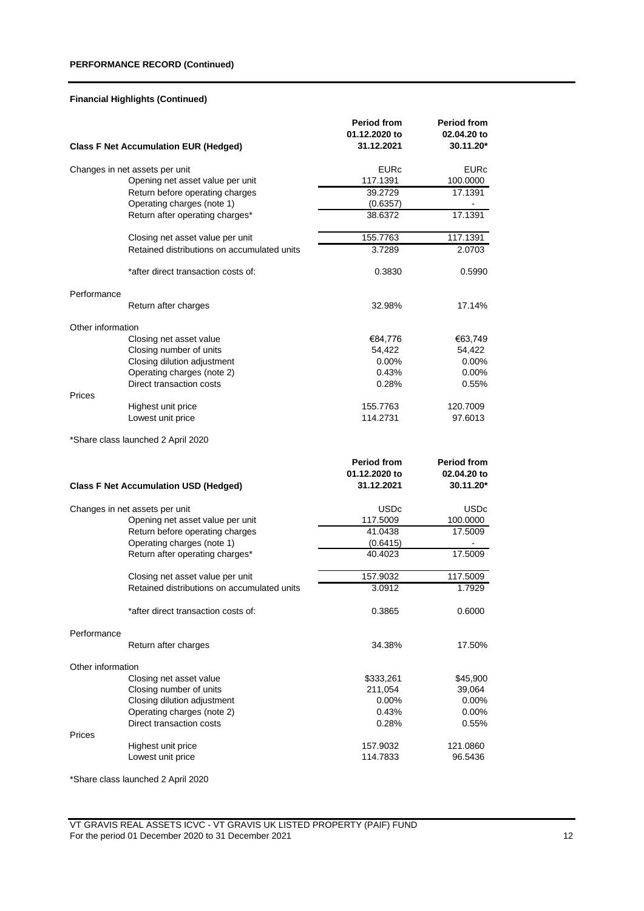## **PERFORMANCE RECORD (Continued)**

## **Financial Highlights (Continued)**

|                   | <b>Class F Net Accumulation EUR (Hedged)</b>                       | <b>Period from</b><br>01.12.2020 to<br>31.12.2021 | <b>Period from</b><br>02.04.20 to<br>30.11.20* |
|-------------------|--------------------------------------------------------------------|---------------------------------------------------|------------------------------------------------|
|                   |                                                                    | EURc                                              | EURc                                           |
|                   | Changes in net assets per unit<br>Opening net asset value per unit | 117.1391                                          | 100.0000                                       |
|                   | Return before operating charges                                    | 39.2729                                           | 17.1391                                        |
|                   | Operating charges (note 1)                                         | (0.6357)                                          |                                                |
|                   | Return after operating charges*                                    | 38.6372                                           | 17.1391                                        |
|                   |                                                                    |                                                   |                                                |
|                   | Closing net asset value per unit                                   | 155.7763                                          | 117.1391                                       |
|                   | Retained distributions on accumulated units                        | 3.7289                                            | 2.0703                                         |
|                   | *after direct transaction costs of:                                | 0.3830                                            | 0.5990                                         |
| Performance       |                                                                    |                                                   |                                                |
|                   | Return after charges                                               | 32.98%                                            | 17.14%                                         |
| Other information |                                                                    |                                                   |                                                |
|                   | Closing net asset value                                            | €84,776                                           | €63,749                                        |
|                   | Closing number of units                                            | 54,422                                            | 54,422                                         |
|                   | Closing dilution adjustment                                        | $0.00\%$                                          | $0.00\%$                                       |
|                   | Operating charges (note 2)                                         | 0.43%                                             | 0.00%                                          |
|                   | Direct transaction costs                                           | 0.28%                                             | 0.55%                                          |
| Prices            |                                                                    |                                                   |                                                |
|                   | Highest unit price                                                 | 155.7763                                          | 120.7009                                       |
|                   | Lowest unit price                                                  | 114.2731                                          | 97.6013                                        |
|                   | *Share class launched 2 April 2020                                 |                                                   |                                                |
|                   |                                                                    | <b>Period from</b>                                | <b>Period from</b>                             |
|                   |                                                                    | 01.12.2020 to                                     | 02.04.20 to                                    |
|                   | <b>Class F Net Accumulation USD (Hedged)</b>                       | 31.12.2021                                        | 30.11.20*                                      |
|                   | Changes in net assets per unit                                     | USDc                                              | USDc                                           |
|                   | Opening net asset value per unit                                   | 117.5009                                          | 100.0000                                       |
|                   | Return before operating charges                                    | 41.0438                                           | 17.5009                                        |
|                   | Operating charges (note 1)                                         | (0.6415)                                          |                                                |
|                   | Return after operating charges*                                    | 40.4023                                           | 17.5009                                        |
|                   | Closing net asset value per unit                                   | 157.9032                                          | 117.5009                                       |
|                   | Retained distributions on accumulated units                        | 3.0912                                            | 1.7929                                         |
|                   | *after direct transaction costs of:                                | 0.3865                                            | 0.6000                                         |
|                   |                                                                    |                                                   |                                                |
| Performance       | Return after charges                                               | 34.38%                                            | 17.50%                                         |
| Other information |                                                                    |                                                   |                                                |
|                   | Closing net asset value                                            | \$333,261                                         | \$45,900                                       |
|                   | Closing number of units                                            | 211,054                                           | 39,064                                         |
|                   | Closing dilution adjustment                                        | $0.00\%$                                          | 0.00%                                          |
|                   | Operating charges (note 2)                                         | 0.43%                                             | $0.00\%$                                       |
|                   | Direct transaction costs                                           | 0.28%                                             | 0.55%                                          |
| Prices            |                                                                    |                                                   |                                                |
|                   | Highest unit price                                                 | 157.9032                                          | 121.0860                                       |
|                   | Lowest unit price                                                  | 114.7833                                          | 96.5436                                        |

\*Share class launched 2 April 2020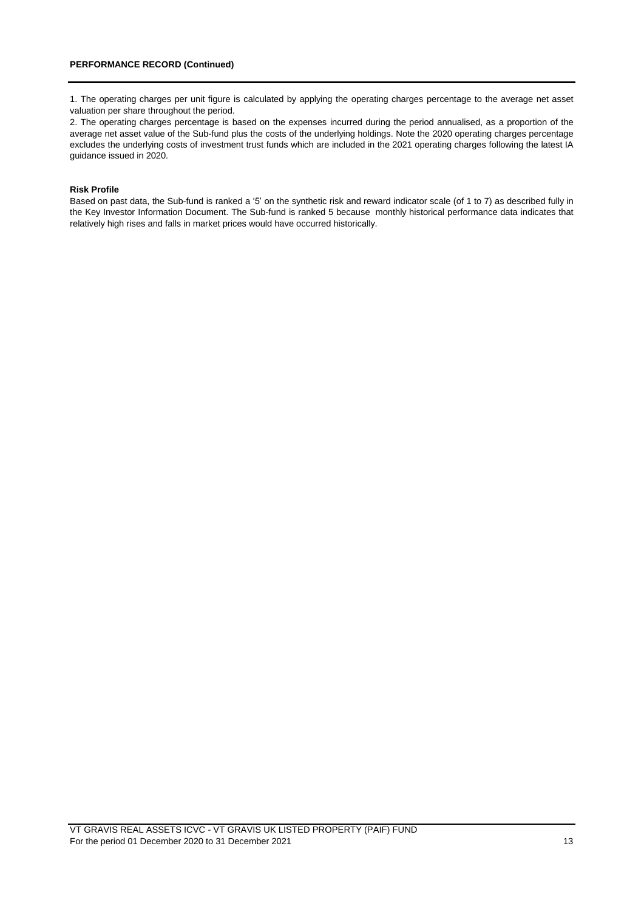1. The operating charges per unit figure is calculated by applying the operating charges percentage to the average net asset valuation per share throughout the period.

2. The operating charges percentage is based on the expenses incurred during the period annualised, as a proportion of the average net asset value of the Sub-fund plus the costs of the underlying holdings. Note the 2020 operating charges percentage excludes the underlying costs of investment trust funds which are included in the 2021 operating charges following the latest IA guidance issued in 2020.

### **Risk Profile**

Based on past data, the Sub-fund is ranked a '5' on the synthetic risk and reward indicator scale (of 1 to 7) as described fully in the Key Investor Information Document. The Sub-fund is ranked 5 because monthly historical performance data indicates that relatively high rises and falls in market prices would have occurred historically.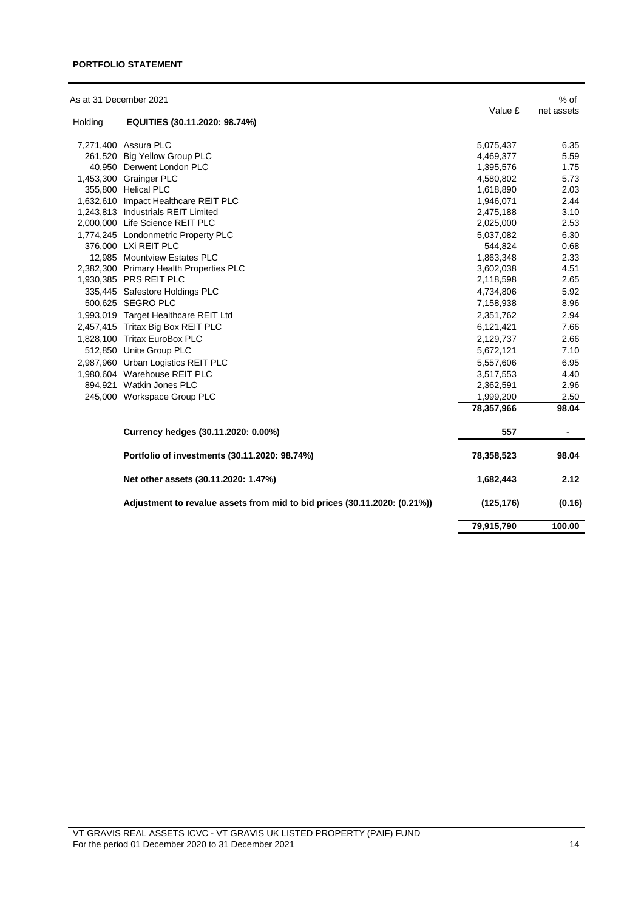### **PORTFOLIO STATEMENT**

| As at 31 December 2021 |                                                                           |            | $%$ of     |
|------------------------|---------------------------------------------------------------------------|------------|------------|
| Holding                | EQUITIES (30.11.2020: 98.74%)                                             | Value £    | net assets |
|                        | 7,271,400 Assura PLC                                                      | 5,075,437  | 6.35       |
|                        | 261,520 Big Yellow Group PLC                                              | 4,469,377  | 5.59       |
|                        | 40.950 Derwent London PLC                                                 | 1,395,576  | 1.75       |
|                        | 1,453,300 Grainger PLC                                                    | 4,580,802  | 5.73       |
|                        | 355,800 Helical PLC                                                       | 1,618,890  | 2.03       |
|                        | 1,632,610 Impact Healthcare REIT PLC                                      | 1,946,071  | 2.44       |
|                        | 1,243,813 Industrials REIT Limited                                        | 2,475,188  | 3.10       |
|                        | 2,000,000 Life Science REIT PLC                                           | 2,025,000  | 2.53       |
|                        | 1,774,245 Londonmetric Property PLC                                       | 5,037,082  | 6.30       |
|                        | 376,000 LXi REIT PLC                                                      | 544,824    | 0.68       |
|                        | 12,985 Mountview Estates PLC                                              | 1,863,348  | 2.33       |
|                        | 2,382,300 Primary Health Properties PLC                                   | 3,602,038  | 4.51       |
|                        | 1,930,385 PRS REIT PLC                                                    | 2,118,598  | 2.65       |
|                        | 335,445 Safestore Holdings PLC                                            | 4,734,806  | 5.92       |
|                        | 500,625 SEGRO PLC                                                         | 7,158,938  | 8.96       |
|                        | 1,993,019 Target Healthcare REIT Ltd                                      | 2,351,762  | 2.94       |
|                        | 2,457,415 Tritax Big Box REIT PLC                                         | 6,121,421  | 7.66       |
|                        | 1,828,100 Tritax EuroBox PLC                                              | 2,129,737  | 2.66       |
|                        | 512,850 Unite Group PLC                                                   | 5,672,121  | 7.10       |
|                        | 2,987,960 Urban Logistics REIT PLC                                        | 5,557,606  | 6.95       |
|                        | 1,980,604 Warehouse REIT PLC                                              | 3,517,553  | 4.40       |
|                        | 894.921 Watkin Jones PLC                                                  | 2,362,591  | 2.96       |
|                        | 245,000 Workspace Group PLC                                               | 1,999,200  | 2.50       |
|                        |                                                                           | 78,357,966 | 98.04      |
|                        | Currency hedges (30.11.2020: 0.00%)                                       | 557        |            |
|                        | Portfolio of investments (30.11.2020: 98.74%)                             | 78,358,523 | 98.04      |
|                        | Net other assets (30.11.2020: 1.47%)                                      | 1,682,443  | 2.12       |
|                        | Adjustment to revalue assets from mid to bid prices (30.11.2020: (0.21%)) | (125, 176) | (0.16)     |
|                        |                                                                           | 79,915,790 | 100.00     |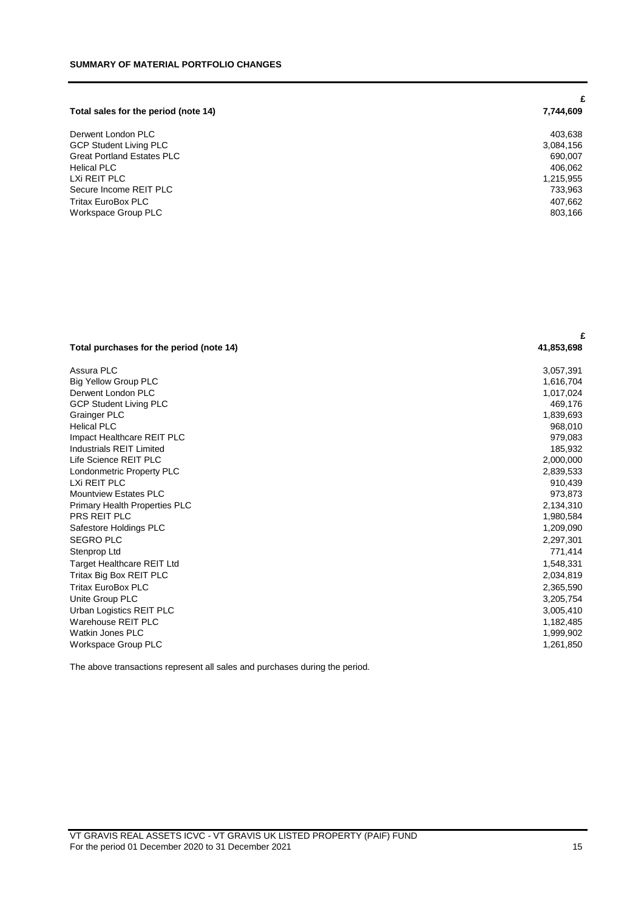|                                      | £         |
|--------------------------------------|-----------|
| Total sales for the period (note 14) | 7,744,609 |
| Derwent London PLC                   | 403,638   |
| <b>GCP Student Living PLC</b>        | 3,084,156 |
| <b>Great Portland Estates PLC</b>    | 690,007   |
| <b>Helical PLC</b>                   | 406,062   |
| LXi REIT PLC                         | 1,215,955 |
| Secure Income REIT PLC               | 733,963   |
| Tritax EuroBox PLC                   | 407,662   |
| Workspace Group PLC                  | 803,166   |

| Assura PLC<br>3,057,391<br><b>Big Yellow Group PLC</b><br>1,616,704<br>Derwent London PLC<br>1,017,024<br><b>GCP Student Living PLC</b><br>469,176<br><b>Grainger PLC</b><br>1,839,693<br><b>Helical PLC</b><br>968,010<br>Impact Healthcare REIT PLC<br>979,083<br><b>Industrials REIT Limited</b><br>185,932<br>Life Science REIT PLC<br>2,000,000<br>Londonmetric Property PLC<br>2,839,533<br>LXi REIT PLC<br>910,439<br><b>Mountview Estates PLC</b><br>973,873<br>2,134,310<br><b>Primary Health Properties PLC</b><br>PRS REIT PLC<br>1,980,584<br>1,209,090<br>Safestore Holdings PLC<br><b>SEGRO PLC</b><br>2,297,301<br>Stenprop Ltd<br>771,414<br>1,548,331<br><b>Target Healthcare REIT Ltd</b><br>Tritax Big Box REIT PLC<br>2,034,819<br>Tritax EuroBox PLC<br>2,365,590<br>Unite Group PLC<br>3,205,754<br>Urban Logistics REIT PLC<br>3,005,410<br>Warehouse REIT PLC<br>1,182,485<br><b>Watkin Jones PLC</b><br>1,999,902<br>Workspace Group PLC<br>1,261,850 | Total purchases for the period (note 14) | 41,853,698 |
|--------------------------------------------------------------------------------------------------------------------------------------------------------------------------------------------------------------------------------------------------------------------------------------------------------------------------------------------------------------------------------------------------------------------------------------------------------------------------------------------------------------------------------------------------------------------------------------------------------------------------------------------------------------------------------------------------------------------------------------------------------------------------------------------------------------------------------------------------------------------------------------------------------------------------------------------------------------------------------|------------------------------------------|------------|
|                                                                                                                                                                                                                                                                                                                                                                                                                                                                                                                                                                                                                                                                                                                                                                                                                                                                                                                                                                                |                                          |            |
|                                                                                                                                                                                                                                                                                                                                                                                                                                                                                                                                                                                                                                                                                                                                                                                                                                                                                                                                                                                |                                          |            |
|                                                                                                                                                                                                                                                                                                                                                                                                                                                                                                                                                                                                                                                                                                                                                                                                                                                                                                                                                                                |                                          |            |
|                                                                                                                                                                                                                                                                                                                                                                                                                                                                                                                                                                                                                                                                                                                                                                                                                                                                                                                                                                                |                                          |            |
|                                                                                                                                                                                                                                                                                                                                                                                                                                                                                                                                                                                                                                                                                                                                                                                                                                                                                                                                                                                |                                          |            |
|                                                                                                                                                                                                                                                                                                                                                                                                                                                                                                                                                                                                                                                                                                                                                                                                                                                                                                                                                                                |                                          |            |
|                                                                                                                                                                                                                                                                                                                                                                                                                                                                                                                                                                                                                                                                                                                                                                                                                                                                                                                                                                                |                                          |            |
|                                                                                                                                                                                                                                                                                                                                                                                                                                                                                                                                                                                                                                                                                                                                                                                                                                                                                                                                                                                |                                          |            |
|                                                                                                                                                                                                                                                                                                                                                                                                                                                                                                                                                                                                                                                                                                                                                                                                                                                                                                                                                                                |                                          |            |
|                                                                                                                                                                                                                                                                                                                                                                                                                                                                                                                                                                                                                                                                                                                                                                                                                                                                                                                                                                                |                                          |            |
|                                                                                                                                                                                                                                                                                                                                                                                                                                                                                                                                                                                                                                                                                                                                                                                                                                                                                                                                                                                |                                          |            |
|                                                                                                                                                                                                                                                                                                                                                                                                                                                                                                                                                                                                                                                                                                                                                                                                                                                                                                                                                                                |                                          |            |
|                                                                                                                                                                                                                                                                                                                                                                                                                                                                                                                                                                                                                                                                                                                                                                                                                                                                                                                                                                                |                                          |            |
|                                                                                                                                                                                                                                                                                                                                                                                                                                                                                                                                                                                                                                                                                                                                                                                                                                                                                                                                                                                |                                          |            |
|                                                                                                                                                                                                                                                                                                                                                                                                                                                                                                                                                                                                                                                                                                                                                                                                                                                                                                                                                                                |                                          |            |
|                                                                                                                                                                                                                                                                                                                                                                                                                                                                                                                                                                                                                                                                                                                                                                                                                                                                                                                                                                                |                                          |            |
|                                                                                                                                                                                                                                                                                                                                                                                                                                                                                                                                                                                                                                                                                                                                                                                                                                                                                                                                                                                |                                          |            |
|                                                                                                                                                                                                                                                                                                                                                                                                                                                                                                                                                                                                                                                                                                                                                                                                                                                                                                                                                                                |                                          |            |
|                                                                                                                                                                                                                                                                                                                                                                                                                                                                                                                                                                                                                                                                                                                                                                                                                                                                                                                                                                                |                                          |            |
|                                                                                                                                                                                                                                                                                                                                                                                                                                                                                                                                                                                                                                                                                                                                                                                                                                                                                                                                                                                |                                          |            |
|                                                                                                                                                                                                                                                                                                                                                                                                                                                                                                                                                                                                                                                                                                                                                                                                                                                                                                                                                                                |                                          |            |
|                                                                                                                                                                                                                                                                                                                                                                                                                                                                                                                                                                                                                                                                                                                                                                                                                                                                                                                                                                                |                                          |            |
|                                                                                                                                                                                                                                                                                                                                                                                                                                                                                                                                                                                                                                                                                                                                                                                                                                                                                                                                                                                |                                          |            |
|                                                                                                                                                                                                                                                                                                                                                                                                                                                                                                                                                                                                                                                                                                                                                                                                                                                                                                                                                                                |                                          |            |
|                                                                                                                                                                                                                                                                                                                                                                                                                                                                                                                                                                                                                                                                                                                                                                                                                                                                                                                                                                                |                                          |            |

The above transactions represent all sales and purchases during the period.

**£**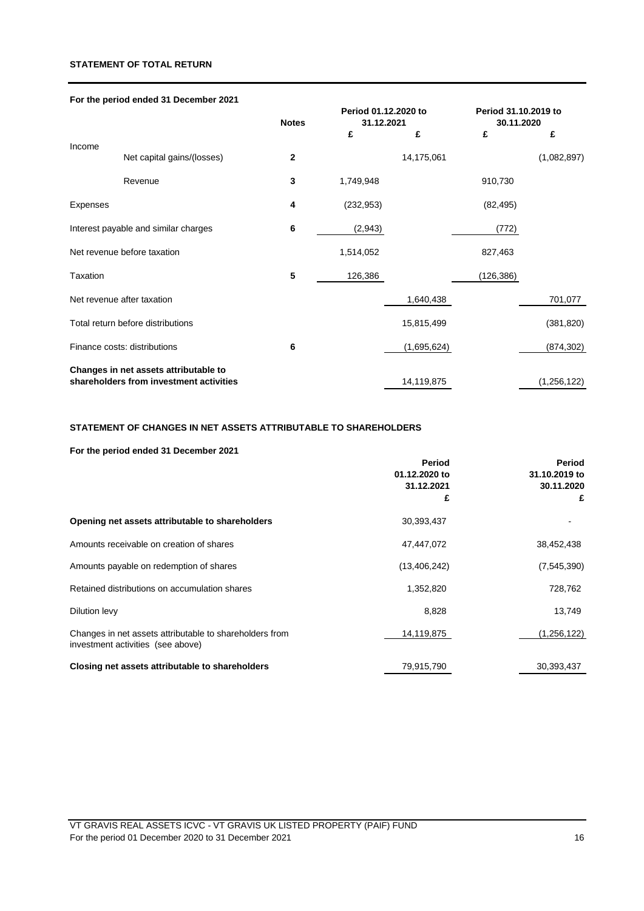## **STATEMENT OF TOTAL RETURN**

|                 | For the period ended 31 December 2021   |              |                      |             |                      |             |
|-----------------|-----------------------------------------|--------------|----------------------|-------------|----------------------|-------------|
|                 |                                         |              | Period 01.12.2020 to |             | Period 31.10.2019 to |             |
|                 |                                         | <b>Notes</b> | 31.12.2021           |             | 30.11.2020           |             |
|                 |                                         |              | £                    | £           | £                    | £           |
| Income          | Net capital gains/(losses)              | $\mathbf{2}$ |                      | 14,175,061  |                      | (1,082,897) |
|                 | Revenue                                 | 3            | 1,749,948            |             | 910,730              |             |
| <b>Expenses</b> |                                         | 4            | (232, 953)           |             | (82, 495)            |             |
|                 | Interest payable and similar charges    | 6            | (2,943)              |             | (772)                |             |
|                 | Net revenue before taxation             |              | 1,514,052            |             | 827,463              |             |
| Taxation        |                                         | 5            | 126,386              |             | (126, 386)           |             |
|                 | Net revenue after taxation              |              |                      | 1,640,438   |                      | 701,077     |
|                 | Total return before distributions       |              |                      | 15,815,499  |                      | (381, 820)  |
|                 | Finance costs: distributions            | 6            |                      | (1,695,624) |                      | (874, 302)  |
|                 | Changes in net assets attributable to   |              |                      |             |                      |             |
|                 | shareholders from investment activities |              |                      | 14,119,875  |                      | (1,256,122) |

## **STATEMENT OF CHANGES IN NET ASSETS ATTRIBUTABLE TO SHAREHOLDERS**

## **For the period ended 31 December 2021**

|                                                                                              | Period<br>01.12.2020 to | Period<br>31.10.2019 to |  |
|----------------------------------------------------------------------------------------------|-------------------------|-------------------------|--|
|                                                                                              | 31.12.2021              | 30.11.2020              |  |
|                                                                                              | £                       | £                       |  |
| Opening net assets attributable to shareholders                                              | 30,393,437              |                         |  |
| Amounts receivable on creation of shares                                                     | 47,447,072              | 38,452,438              |  |
| Amounts payable on redemption of shares                                                      | (13,406,242)            | (7,545,390)             |  |
| Retained distributions on accumulation shares                                                | 1,352,820               | 728,762                 |  |
| Dilution levy                                                                                | 8,828                   | 13,749                  |  |
| Changes in net assets attributable to shareholders from<br>investment activities (see above) | 14,119,875              | (1,256,122)             |  |
| Closing net assets attributable to shareholders                                              | 79,915,790              | 30,393,437              |  |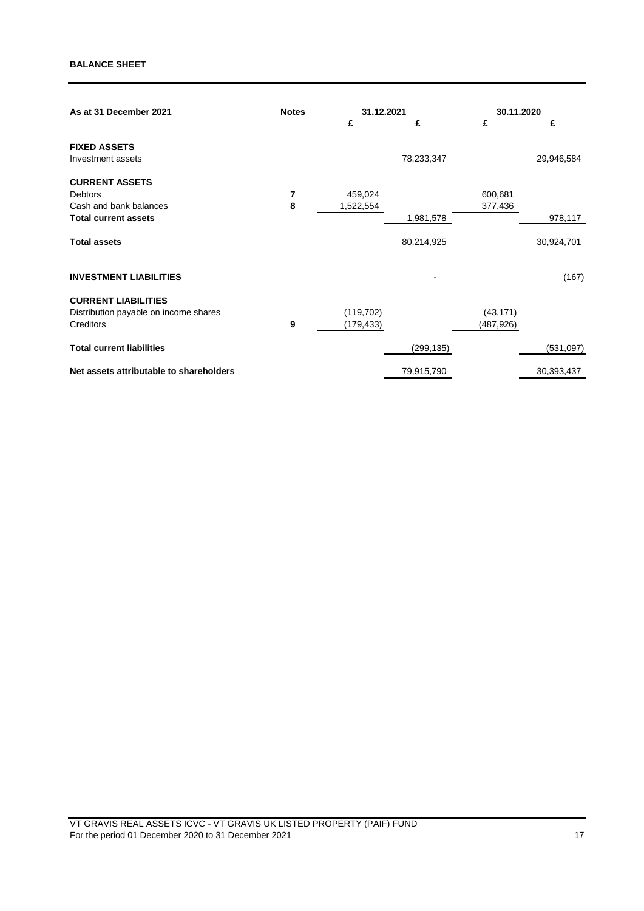| As at 31 December 2021                  | <b>Notes</b> | 31.12.2021 |            | 30.11.2020 |            |
|-----------------------------------------|--------------|------------|------------|------------|------------|
|                                         |              | £          | £          | £          | £          |
| <b>FIXED ASSETS</b>                     |              |            |            |            |            |
| Investment assets                       |              |            | 78,233,347 |            | 29,946,584 |
| <b>CURRENT ASSETS</b>                   |              |            |            |            |            |
| Debtors                                 | 7            | 459,024    |            | 600,681    |            |
| Cash and bank balances                  | 8            | 1,522,554  |            | 377,436    |            |
| <b>Total current assets</b>             |              |            | 1,981,578  |            | 978,117    |
| <b>Total assets</b>                     |              |            | 80,214,925 |            | 30,924,701 |
| <b>INVESTMENT LIABILITIES</b>           |              |            |            |            | (167)      |
| <b>CURRENT LIABILITIES</b>              |              |            |            |            |            |
| Distribution payable on income shares   |              | (119, 702) |            | (43, 171)  |            |
| Creditors                               | 9            | (179, 433) |            | (487,926)  |            |
| <b>Total current liabilities</b>        |              |            | (299, 135) |            | (531,097)  |
| Net assets attributable to shareholders |              |            | 79,915,790 |            | 30,393,437 |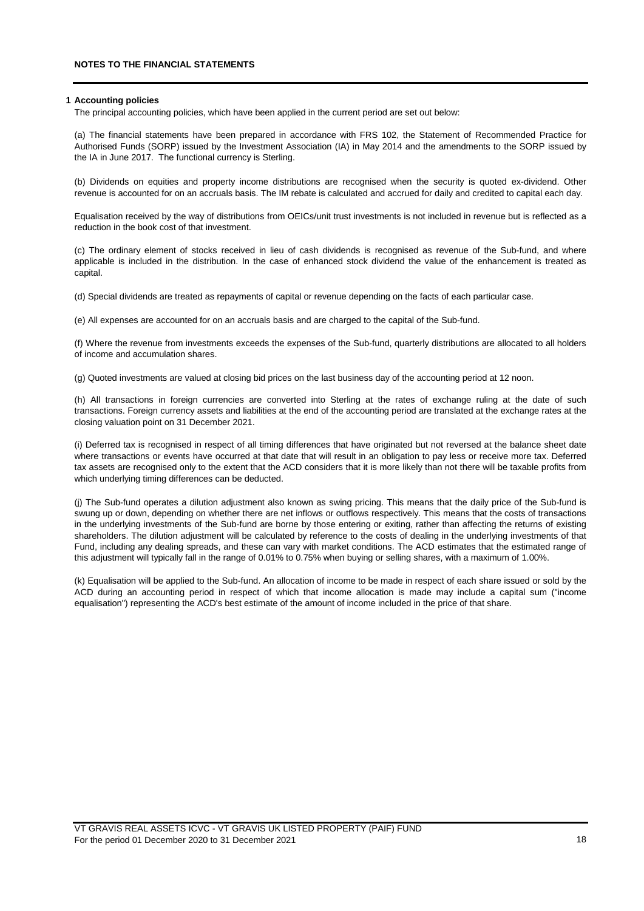#### **1 Accounting policies**

The principal accounting policies, which have been applied in the current period are set out below:

(a) The financial statements have been prepared in accordance with FRS 102, the Statement of Recommended Practice for Authorised Funds (SORP) issued by the Investment Association (IA) in May 2014 and the amendments to the SORP issued by the IA in June 2017. The functional currency is Sterling.

(b) Dividends on equities and property income distributions are recognised when the security is quoted ex-dividend. Other revenue is accounted for on an accruals basis. The IM rebate is calculated and accrued for daily and credited to capital each day.

Equalisation received by the way of distributions from OEICs/unit trust investments is not included in revenue but is reflected as a reduction in the book cost of that investment.

(c) The ordinary element of stocks received in lieu of cash dividends is recognised as revenue of the Sub-fund, and where applicable is included in the distribution. In the case of enhanced stock dividend the value of the enhancement is treated as capital.

(d) Special dividends are treated as repayments of capital or revenue depending on the facts of each particular case.

(e) All expenses are accounted for on an accruals basis and are charged to the capital of the Sub-fund.

(f) Where the revenue from investments exceeds the expenses of the Sub-fund, quarterly distributions are allocated to all holders of income and accumulation shares.

(g) Quoted investments are valued at closing bid prices on the last business day of the accounting period at 12 noon.

(h) All transactions in foreign currencies are converted into Sterling at the rates of exchange ruling at the date of such transactions. Foreign currency assets and liabilities at the end of the accounting period are translated at the exchange rates at the closing valuation point on 31 December 2021.

(i) Deferred tax is recognised in respect of all timing differences that have originated but not reversed at the balance sheet date where transactions or events have occurred at that date that will result in an obligation to pay less or receive more tax. Deferred tax assets are recognised only to the extent that the ACD considers that it is more likely than not there will be taxable profits from which underlying timing differences can be deducted.

(j) The Sub-fund operates a dilution adjustment also known as swing pricing. This means that the daily price of the Sub-fund is swung up or down, depending on whether there are net inflows or outflows respectively. This means that the costs of transactions in the underlying investments of the Sub-fund are borne by those entering or exiting, rather than affecting the returns of existing shareholders. The dilution adjustment will be calculated by reference to the costs of dealing in the underlying investments of that Fund, including any dealing spreads, and these can vary with market conditions. The ACD estimates that the estimated range of this adjustment will typically fall in the range of 0.01% to 0.75% when buying or selling shares, with a maximum of 1.00%.

(k) Equalisation will be applied to the Sub-fund. An allocation of income to be made in respect of each share issued or sold by the ACD during an accounting period in respect of which that income allocation is made may include a capital sum ("income equalisation") representing the ACD's best estimate of the amount of income included in the price of that share.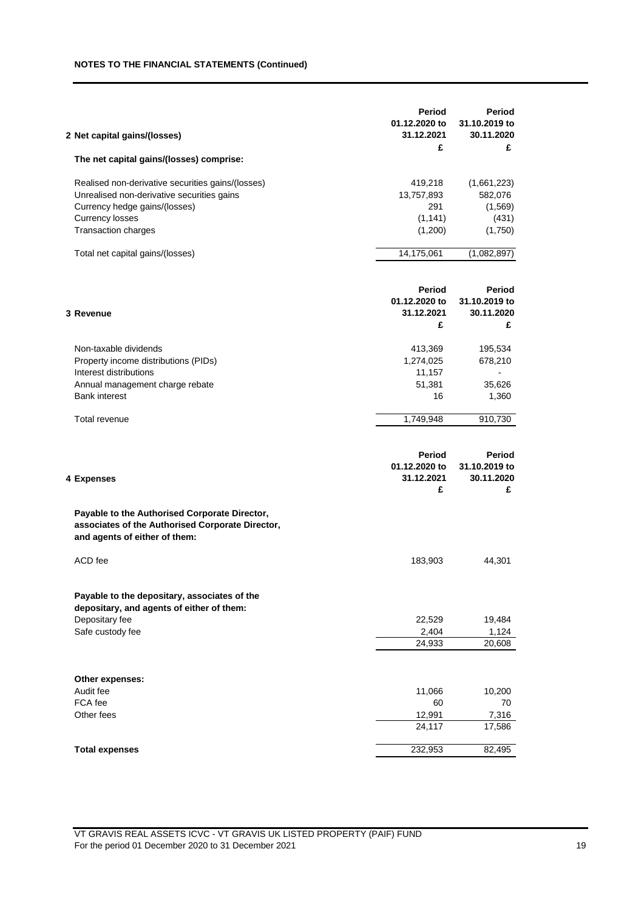## **NOTES TO THE FINANCIAL STATEMENTS (Continued)**

| 2 Net capital gains/(losses)<br>The net capital gains/(losses) comprise:                                                           | Period<br>01.12.2020 to<br>31.12.2021<br>£ | Period<br>31.10.2019 to<br>30.11.2020<br>£ |
|------------------------------------------------------------------------------------------------------------------------------------|--------------------------------------------|--------------------------------------------|
|                                                                                                                                    |                                            |                                            |
| Realised non-derivative securities gains/(losses)                                                                                  | 419,218                                    | (1,661,223)                                |
| Unrealised non-derivative securities gains                                                                                         | 13,757,893                                 | 582,076                                    |
| Currency hedge gains/(losses)                                                                                                      | 291                                        | (1, 569)                                   |
| <b>Currency losses</b>                                                                                                             | (1, 141)                                   | (431)                                      |
| Transaction charges                                                                                                                | (1,200)                                    | (1,750)                                    |
| Total net capital gains/(losses)                                                                                                   | 14,175,061                                 | (1,082,897)                                |
|                                                                                                                                    | Period                                     | Period                                     |
|                                                                                                                                    | 01.12.2020 to                              | 31.10.2019 to                              |
| 3 Revenue                                                                                                                          | 31.12.2021<br>£                            | 30.11.2020<br>£                            |
|                                                                                                                                    |                                            |                                            |
| Non-taxable dividends                                                                                                              | 413,369                                    | 195,534                                    |
| Property income distributions (PIDs)                                                                                               | 1,274,025                                  | 678,210                                    |
| Interest distributions                                                                                                             | 11,157<br>51,381                           | 35,626                                     |
| Annual management charge rebate<br><b>Bank interest</b>                                                                            | 16                                         | 1,360                                      |
|                                                                                                                                    |                                            |                                            |
| Total revenue                                                                                                                      | 1,749,948                                  | 910,730                                    |
| 4 Expenses                                                                                                                         | Period<br>01.12.2020 to<br>31.12.2021<br>£ | Period<br>31.10.2019 to<br>30.11.2020<br>£ |
| Payable to the Authorised Corporate Director,<br>associates of the Authorised Corporate Director,<br>and agents of either of them: |                                            |                                            |
| ACD fee                                                                                                                            | 183,903                                    | 44,301                                     |
| Payable to the depositary, associates of the<br>depositary, and agents of either of them:                                          |                                            |                                            |
| Depositary fee                                                                                                                     | 22,529                                     | 19,484                                     |
| Safe custody fee                                                                                                                   | 2,404                                      | 1,124                                      |
|                                                                                                                                    | 24,933                                     | 20,608                                     |
| Other expenses:                                                                                                                    |                                            |                                            |
| Audit fee                                                                                                                          | 11,066                                     | 10,200                                     |
| FCA fee                                                                                                                            | 60                                         | 70                                         |
| Other fees                                                                                                                         | 12,991                                     | 7,316                                      |
|                                                                                                                                    | 24,117                                     | 17,586                                     |
| <b>Total expenses</b>                                                                                                              | 232,953                                    | 82,495                                     |
|                                                                                                                                    |                                            |                                            |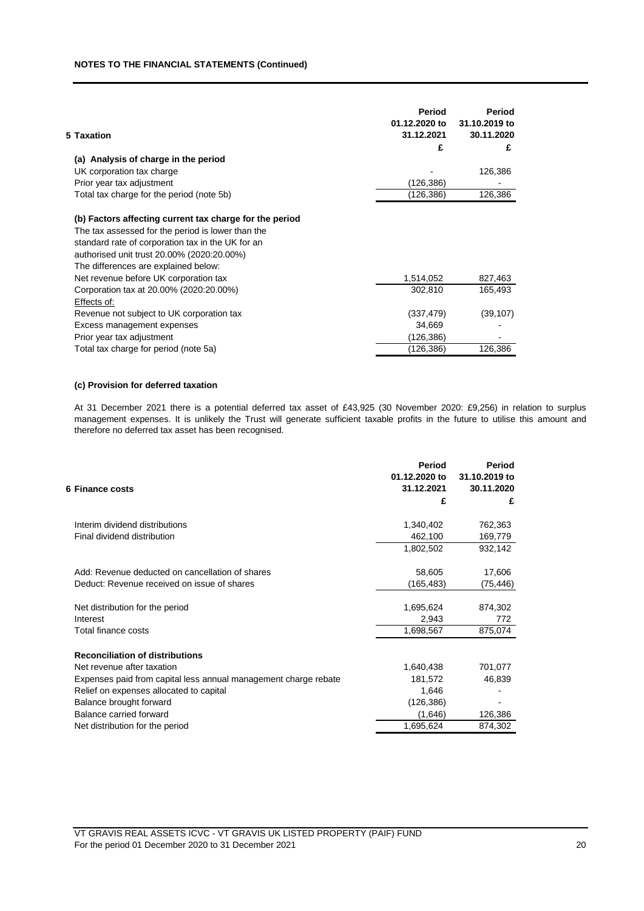## **NOTES TO THE FINANCIAL STATEMENTS (Continued)**

| 5 Taxation<br>(a) Analysis of charge in the period<br>UK corporation tax charge<br>Prior year tax adjustment<br>Total tax charge for the period (note 5b)<br>(b) Factors affecting current tax charge for the period<br>The tax assessed for the period is lower than the<br>standard rate of corporation tax in the UK for an<br>authorised unit trust 20.00% (2020:20.00%)<br>The differences are explained below:<br>Net revenue before UK corporation tax<br>Corporation tax at 20.00% (2020:20.00%)<br>Effects of:<br>Revenue not subject to UK corporation tax | Period<br>01.12.2020 to<br>31.12.2021<br>£ | Period<br>31.10.2019 to<br>30.11.2020<br>£ |
|----------------------------------------------------------------------------------------------------------------------------------------------------------------------------------------------------------------------------------------------------------------------------------------------------------------------------------------------------------------------------------------------------------------------------------------------------------------------------------------------------------------------------------------------------------------------|--------------------------------------------|--------------------------------------------|
|                                                                                                                                                                                                                                                                                                                                                                                                                                                                                                                                                                      |                                            |                                            |
|                                                                                                                                                                                                                                                                                                                                                                                                                                                                                                                                                                      |                                            | 126,386                                    |
|                                                                                                                                                                                                                                                                                                                                                                                                                                                                                                                                                                      | (126,386)                                  |                                            |
|                                                                                                                                                                                                                                                                                                                                                                                                                                                                                                                                                                      | (126,386)                                  | 126,386                                    |
|                                                                                                                                                                                                                                                                                                                                                                                                                                                                                                                                                                      |                                            |                                            |
|                                                                                                                                                                                                                                                                                                                                                                                                                                                                                                                                                                      |                                            |                                            |
|                                                                                                                                                                                                                                                                                                                                                                                                                                                                                                                                                                      |                                            |                                            |
|                                                                                                                                                                                                                                                                                                                                                                                                                                                                                                                                                                      | 1,514,052                                  | 827,463                                    |
|                                                                                                                                                                                                                                                                                                                                                                                                                                                                                                                                                                      | 302,810                                    | 165,493                                    |
|                                                                                                                                                                                                                                                                                                                                                                                                                                                                                                                                                                      |                                            |                                            |
|                                                                                                                                                                                                                                                                                                                                                                                                                                                                                                                                                                      | (337, 479)                                 | (39, 107)                                  |
| Excess management expenses                                                                                                                                                                                                                                                                                                                                                                                                                                                                                                                                           | 34,669                                     |                                            |
| Prior year tax adjustment                                                                                                                                                                                                                                                                                                                                                                                                                                                                                                                                            | (126,386)                                  |                                            |
| Total tax charge for period (note 5a)                                                                                                                                                                                                                                                                                                                                                                                                                                                                                                                                | (126,386)                                  | 126,386                                    |

## **(c) Provision for deferred taxation**

At 31 December 2021 there is a potential deferred tax asset of £43,925 (30 November 2020: £9,256) in relation to surplus management expenses. It is unlikely the Trust will generate sufficient taxable profits in the future to utilise this amount and therefore no deferred tax asset has been recognised.

| 6 Finance costs                                                 | Period<br>01.12.2020 to<br>31.12.2021<br>£ | Period<br>31.10.2019 to<br>30.11.2020<br>£ |
|-----------------------------------------------------------------|--------------------------------------------|--------------------------------------------|
| Interim dividend distributions                                  | 1,340,402                                  | 762,363                                    |
| Final dividend distribution                                     | 462,100                                    | 169,779                                    |
|                                                                 | 1,802,502                                  | 932,142                                    |
| Add: Revenue deducted on cancellation of shares                 | 58,605                                     | 17,606                                     |
| Deduct: Revenue received on issue of shares                     | (165, 483)                                 | (75,446)                                   |
| Net distribution for the period                                 | 1,695,624                                  | 874,302                                    |
| Interest                                                        | 2,943                                      | 772                                        |
| Total finance costs                                             | 1,698,567                                  | 875,074                                    |
| <b>Reconciliation of distributions</b>                          |                                            |                                            |
| Net revenue after taxation                                      | 1,640,438                                  | 701,077                                    |
| Expenses paid from capital less annual management charge rebate | 181,572                                    | 46,839                                     |
| Relief on expenses allocated to capital                         | 1,646                                      |                                            |
| Balance brought forward                                         | (126, 386)                                 |                                            |
| Balance carried forward                                         | (1,646)                                    | 126,386                                    |
| Net distribution for the period                                 | 1,695,624                                  | 874,302                                    |
|                                                                 |                                            |                                            |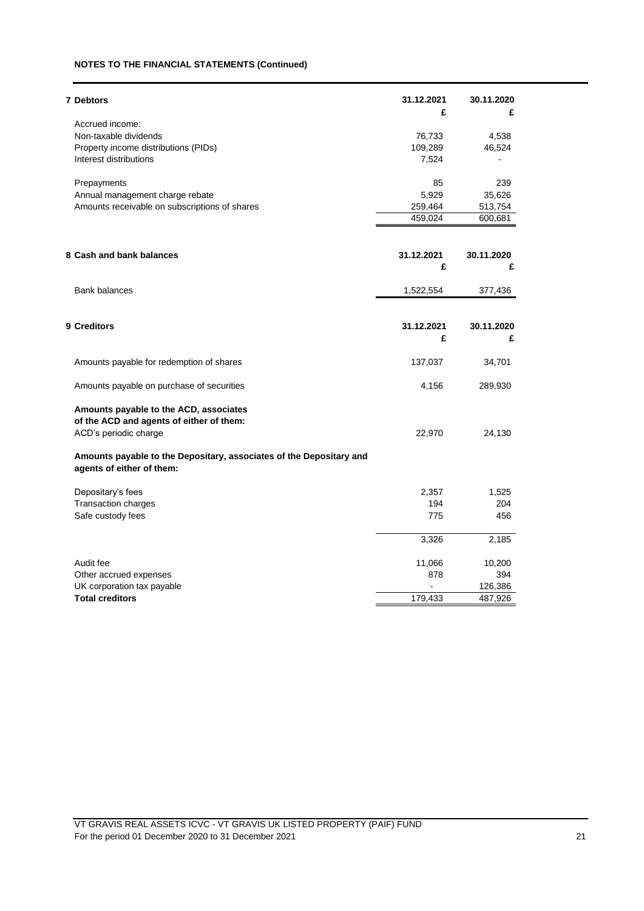## **NOTES TO THE FINANCIAL STATEMENTS (Continued)**

| <b>7 Debtors</b>                                                                                 | 31.12.2021 | 30.11.2020 |
|--------------------------------------------------------------------------------------------------|------------|------------|
| Accrued income:                                                                                  | £          | £          |
| Non-taxable dividends                                                                            | 76,733     | 4,538      |
| Property income distributions (PIDs)                                                             | 109,289    | 46,524     |
| Interest distributions                                                                           | 7,524      |            |
| Prepayments                                                                                      | 85         | 239        |
| Annual management charge rebate                                                                  | 5,929      | 35,626     |
| Amounts receivable on subscriptions of shares                                                    | 259,464    | 513,754    |
|                                                                                                  | 459,024    | 600,681    |
| 8 Cash and bank balances                                                                         | 31.12.2021 | 30.11.2020 |
|                                                                                                  | £          | £          |
| <b>Bank balances</b>                                                                             | 1,522,554  | 377,436    |
|                                                                                                  |            |            |
| 9 Creditors                                                                                      | 31.12.2021 | 30.11.2020 |
|                                                                                                  | £          | £          |
| Amounts payable for redemption of shares                                                         | 137,037    | 34,701     |
| Amounts payable on purchase of securities                                                        | 4,156      | 289,930    |
| Amounts payable to the ACD, associates<br>of the ACD and agents of either of them:               |            |            |
| ACD's periodic charge                                                                            | 22,970     | 24,130     |
| Amounts payable to the Depositary, associates of the Depositary and<br>agents of either of them: |            |            |
| Depositary's fees                                                                                | 2,357      | 1,525      |
| Transaction charges                                                                              | 194        | 204        |
| Safe custody fees                                                                                | 775        | 456        |
|                                                                                                  | 3,326      | 2,185      |
| Audit fee                                                                                        | 11,066     | 10,200     |
| Other accrued expenses                                                                           | 878        | 394        |
| UK corporation tax payable                                                                       |            | 126,386    |
| <b>Total creditors</b>                                                                           | 179,433    | 487,926    |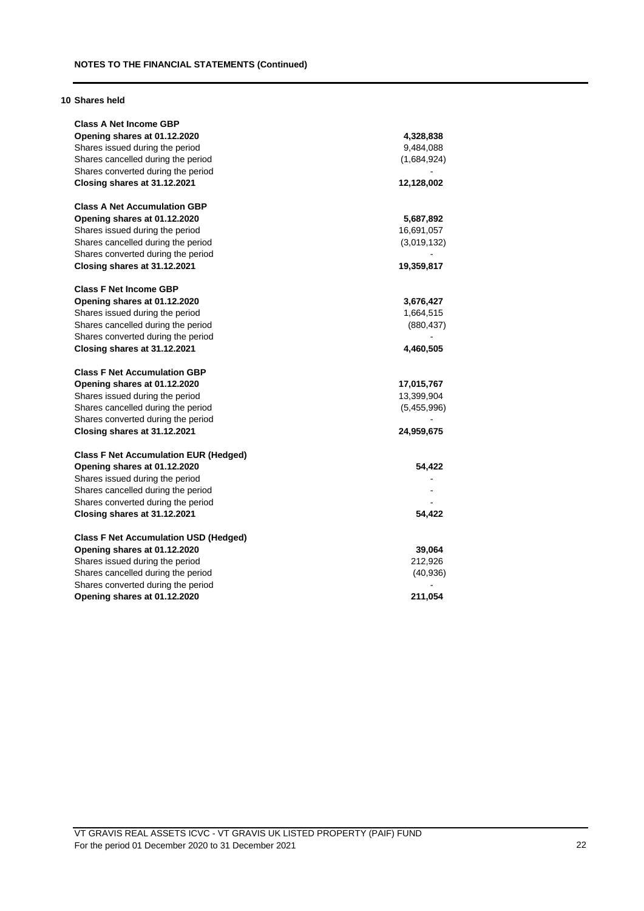## **10 Shares held**

| <b>Class A Net Income GBP</b>                |             |
|----------------------------------------------|-------------|
| Opening shares at 01.12.2020                 | 4,328,838   |
| Shares issued during the period              | 9,484,088   |
| Shares cancelled during the period           | (1,684,924) |
| Shares converted during the period           |             |
| Closing shares at 31.12.2021                 | 12,128,002  |
| <b>Class A Net Accumulation GBP</b>          |             |
| Opening shares at 01.12.2020                 | 5,687,892   |
| Shares issued during the period              | 16,691,057  |
| Shares cancelled during the period           | (3,019,132) |
| Shares converted during the period           |             |
| Closing shares at 31.12.2021                 | 19,359,817  |
| <b>Class F Net Income GBP</b>                |             |
| Opening shares at 01.12.2020                 | 3,676,427   |
| Shares issued during the period              | 1,664,515   |
| Shares cancelled during the period           | (880, 437)  |
| Shares converted during the period           |             |
| Closing shares at 31.12.2021                 | 4,460,505   |
| <b>Class F Net Accumulation GBP</b>          |             |
| Opening shares at 01.12.2020                 | 17,015,767  |
| Shares issued during the period              | 13,399,904  |
| Shares cancelled during the period           | (5,455,996) |
| Shares converted during the period           |             |
| Closing shares at 31.12.2021                 | 24,959,675  |
| <b>Class F Net Accumulation EUR (Hedged)</b> |             |
| Opening shares at 01.12.2020                 | 54,422      |
| Shares issued during the period              |             |
| Shares cancelled during the period           |             |
| Shares converted during the period           |             |
| Closing shares at 31.12.2021                 | 54,422      |
| <b>Class F Net Accumulation USD (Hedged)</b> |             |
| Opening shares at 01.12.2020                 | 39,064      |
| Shares issued during the period              | 212,926     |
| Shares cancelled during the period           | (40, 936)   |
| Shares converted during the period           |             |
| Opening shares at 01.12.2020                 | 211,054     |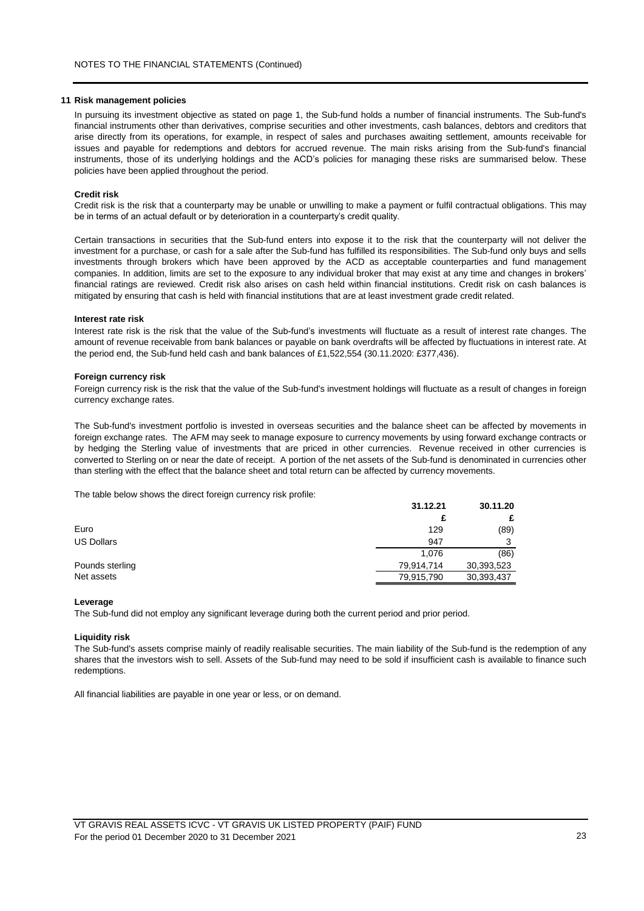#### **11 Risk management policies**

In pursuing its investment objective as stated on page 1, the Sub-fund holds a number of financial instruments. The Sub-fund's financial instruments other than derivatives, comprise securities and other investments, cash balances, debtors and creditors that arise directly from its operations, for example, in respect of sales and purchases awaiting settlement, amounts receivable for issues and payable for redemptions and debtors for accrued revenue. The main risks arising from the Sub-fund's financial instruments, those of its underlying holdings and the ACD's policies for managing these risks are summarised below. These policies have been applied throughout the period.

#### **Credit risk**

Credit risk is the risk that a counterparty may be unable or unwilling to make a payment or fulfil contractual obligations. This may be in terms of an actual default or by deterioration in a counterparty's credit quality.

Certain transactions in securities that the Sub-fund enters into expose it to the risk that the counterparty will not deliver the investment for a purchase, or cash for a sale after the Sub-fund has fulfilled its responsibilities. The Sub-fund only buys and sells investments through brokers which have been approved by the ACD as acceptable counterparties and fund management companies. In addition, limits are set to the exposure to any individual broker that may exist at any time and changes in brokers' financial ratings are reviewed. Credit risk also arises on cash held within financial institutions. Credit risk on cash balances is mitigated by ensuring that cash is held with financial institutions that are at least investment grade credit related.

#### **Interest rate risk**

Interest rate risk is the risk that the value of the Sub-fund's investments will fluctuate as a result of interest rate changes. The amount of revenue receivable from bank balances or payable on bank overdrafts will be affected by fluctuations in interest rate. At the period end, the Sub-fund held cash and bank balances of £1,522,554 (30.11.2020: £377,436).

#### **Foreign currency risk**

Foreign currency risk is the risk that the value of the Sub-fund's investment holdings will fluctuate as a result of changes in foreign currency exchange rates.

The Sub-fund's investment portfolio is invested in overseas securities and the balance sheet can be affected by movements in foreign exchange rates. The AFM may seek to manage exposure to currency movements by using forward exchange contracts or by hedging the Sterling value of investments that are priced in other currencies. Revenue received in other currencies is converted to Sterling on or near the date of receipt. A portion of the net assets of the Sub-fund is denominated in currencies other than sterling with the effect that the balance sheet and total return can be affected by currency movements.

The table below shows the direct foreign currency risk profile:

|                   | 31.12.21   | 30.11.20   |
|-------------------|------------|------------|
|                   | £          |            |
| Euro              | 129        | (89)       |
| <b>US Dollars</b> | 947        | ີ          |
|                   | 1.076      | (86)       |
| Pounds sterling   | 79,914,714 | 30,393,523 |
| Net assets        | 79,915,790 | 30,393,437 |

#### **Leverage**

The Sub-fund did not employ any significant leverage during both the current period and prior period.

### **Liquidity risk**

The Sub-fund's assets comprise mainly of readily realisable securities. The main liability of the Sub-fund is the redemption of any shares that the investors wish to sell. Assets of the Sub-fund may need to be sold if insufficient cash is available to finance such redemptions.

All financial liabilities are payable in one year or less, or on demand.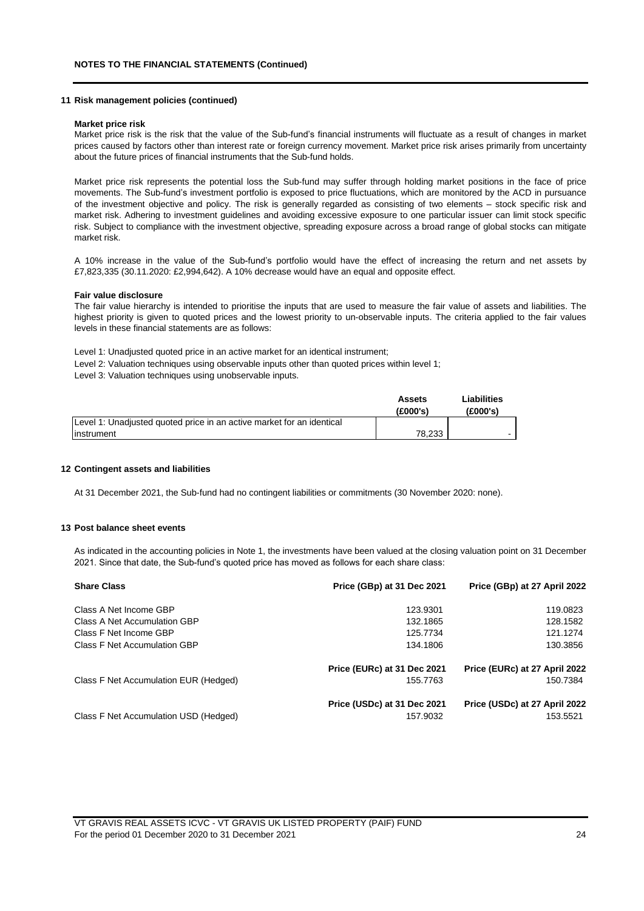#### **11 Risk management policies (continued)**

#### **Market price risk**

Market price risk is the risk that the value of the Sub-fund's financial instruments will fluctuate as a result of changes in market prices caused by factors other than interest rate or foreign currency movement. Market price risk arises primarily from uncertainty about the future prices of financial instruments that the Sub-fund holds.

Market price risk represents the potential loss the Sub-fund may suffer through holding market positions in the face of price movements. The Sub-fund's investment portfolio is exposed to price fluctuations, which are monitored by the ACD in pursuance of the investment objective and policy. The risk is generally regarded as consisting of two elements – stock specific risk and market risk. Adhering to investment guidelines and avoiding excessive exposure to one particular issuer can limit stock specific risk. Subject to compliance with the investment objective, spreading exposure across a broad range of global stocks can mitigate market risk.

A 10% increase in the value of the Sub-fund's portfolio would have the effect of increasing the return and net assets by £7,823,335 (30.11.2020: £2,994,642). A 10% decrease would have an equal and opposite effect.

#### **Fair value disclosure**

The fair value hierarchy is intended to prioritise the inputs that are used to measure the fair value of assets and liabilities. The highest priority is given to quoted prices and the lowest priority to un-observable inputs. The criteria applied to the fair values levels in these financial statements are as follows:

Level 1: Unadjusted quoted price in an active market for an identical instrument;

- Level 2: Valuation techniques using observable inputs other than quoted prices within level 1;
- Level 3: Valuation techniques using unobservable inputs.

|                                                                       | Assets<br>(E000's) | Liabilities<br>(£000's) |
|-----------------------------------------------------------------------|--------------------|-------------------------|
| Level 1: Unadjusted quoted price in an active market for an identical |                    |                         |
| linstrument                                                           | 78.233             |                         |

#### **12 Contingent assets and liabilities**

At 31 December 2021, the Sub-fund had no contingent liabilities or commitments (30 November 2020: none).

### **13 Post balance sheet events**

As indicated in the accounting policies in Note 1, the investments have been valued at the closing valuation point on 31 December 2021. Since that date, the Sub-fund's quoted price has moved as follows for each share class:

| <b>Share Class</b>                    | Price (GBp) at 31 Dec 2021  | Price (GBp) at 27 April 2022  |
|---------------------------------------|-----------------------------|-------------------------------|
| Class A Net Income GBP                | 123.9301                    | 119.0823                      |
| Class A Net Accumulation GBP          | 132.1865                    | 128.1582                      |
| Class F Net Income GBP                | 125.7734                    | 121.1274                      |
| Class F Net Accumulation GBP          | 134.1806                    | 130.3856                      |
|                                       | Price (EURc) at 31 Dec 2021 | Price (EURc) at 27 April 2022 |
| Class F Net Accumulation EUR (Hedged) | 155.7763                    | 150.7384                      |
|                                       | Price (USDc) at 31 Dec 2021 | Price (USDc) at 27 April 2022 |
| Class F Net Accumulation USD (Hedged) | 157.9032                    | 153.5521                      |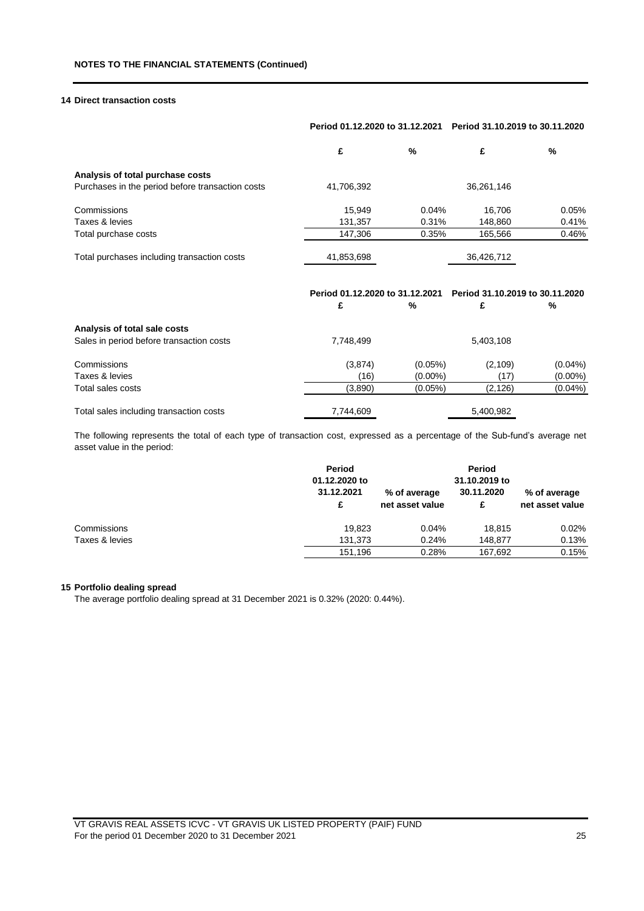## **14 Direct transaction costs**

| Period 01.12.2020 to 31.12.2021 |       | Period 31.10.2019 to 30.11.2020      |                                                        |
|---------------------------------|-------|--------------------------------------|--------------------------------------------------------|
| £                               | %     | £                                    | %                                                      |
|                                 |       |                                      |                                                        |
| 41,706,392                      |       | 36,261,146                           |                                                        |
| 15.949                          | 0.04% | 16,706                               | 0.05%                                                  |
| 131,357                         |       | 148,860                              | 0.41%                                                  |
| 147.306                         |       | 165.566                              | 0.46%                                                  |
| 41,853,698                      |       | 36,426,712                           |                                                        |
|                                 |       |                                      | %                                                      |
|                                 | £     | Period 01.12.2020 to 31.12.2021<br>% | 0.31%<br>0.35%<br>Period 31.10.2019 to 30.11.2020<br>£ |

| Analysis of total sale costs<br>Sales in period before transaction costs | 7.748.499 |            | 5,403,108 |            |
|--------------------------------------------------------------------------|-----------|------------|-----------|------------|
| Commissions                                                              | (3,874)   | $(0.05\%)$ | (2, 109)  | $(0.04\%)$ |
| Taxes & levies                                                           | (16)      | $(0.00\%)$ | (17)      | $(0.00\%)$ |
| Total sales costs                                                        | (3,890)   | $(0.05\%)$ | (2, 126)  | $(0.04\%)$ |
| Total sales including transaction costs                                  | 7,744,609 |            | 5,400,982 |            |

The following represents the total of each type of transaction cost, expressed as a percentage of the Sub-fund's average net asset value in the period:

| Period<br>01.12.2020 to<br>31.12.2021<br>£ | % of average<br>net asset value | Period<br>31.10.2019 to<br>30.11.2020<br>£ | % of average<br>net asset value |
|--------------------------------------------|---------------------------------|--------------------------------------------|---------------------------------|
| 19.823                                     | 0.04%                           | 18.815                                     | 0.02%                           |
| 131.373                                    | 0.24%                           | 148.877                                    | 0.13%                           |
| 151.196                                    | 0.28%                           | 167.692                                    | 0.15%                           |
|                                            |                                 |                                            |                                 |

## **15 Portfolio dealing spread**

The average portfolio dealing spread at 31 December 2021 is 0.32% (2020: 0.44%).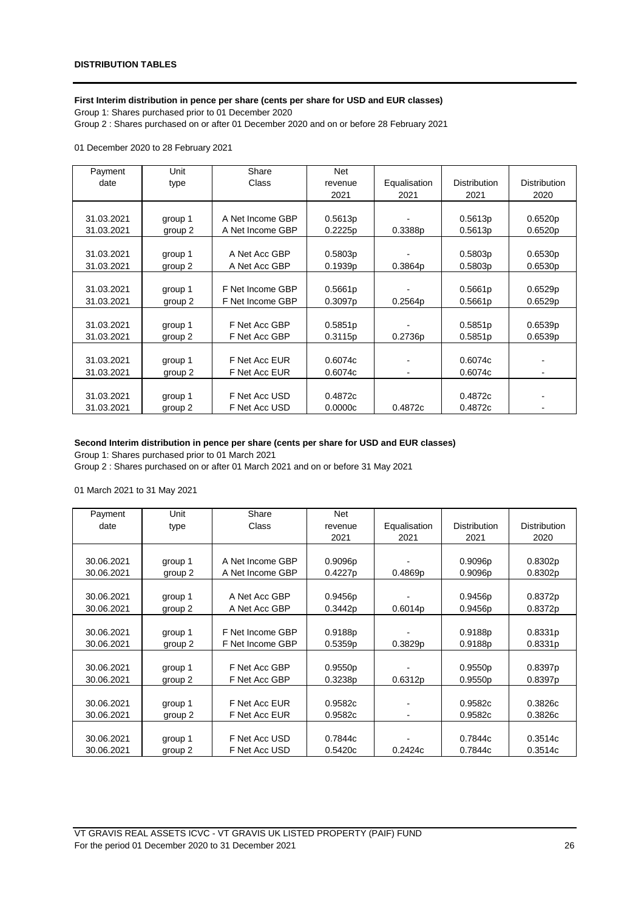## **First Interim distribution in pence per share (cents per share for USD and EUR classes)**

Group 1: Shares purchased prior to 01 December 2020 Group 2 : Shares purchased on or after 01 December 2020 and on or before 28 February 2021

01 December 2020 to 28 February 2021

| Payment    | Unit    | Share            | <b>Net</b> |              |                     |                     |
|------------|---------|------------------|------------|--------------|---------------------|---------------------|
| date       | type    | Class            | revenue    | Equalisation | <b>Distribution</b> | <b>Distribution</b> |
|            |         |                  | 2021       | 2021         | 2021                | 2020                |
|            |         |                  |            |              |                     |                     |
| 31.03.2021 | group 1 | A Net Income GBP | 0.5613p    |              | 0.5613p             | 0.6520p             |
| 31.03.2021 | group 2 | A Net Income GBP | 0.2225p    | 0.3388p      | 0.5613p             | 0.6520p             |
|            |         |                  |            |              |                     |                     |
| 31.03.2021 | group 1 | A Net Acc GBP    | 0.5803p    |              | 0.5803p             | 0.6530p             |
| 31.03.2021 | group 2 | A Net Acc GBP    | 0.1939p    | 0.3864p      | 0.5803p             | 0.6530p             |
|            |         |                  |            |              |                     |                     |
| 31.03.2021 | group 1 | F Net Income GBP | 0.5661p    |              | 0.5661p             | 0.6529p             |
| 31.03.2021 | group 2 | F Net Income GBP | 0.3097p    | 0.2564p      | 0.5661p             | 0.6529p             |
|            |         |                  |            |              |                     |                     |
| 31.03.2021 | group 1 | F Net Acc GBP    | 0.5851p    |              | 0.5851p             | 0.6539p             |
| 31.03.2021 | group 2 | F Net Acc GBP    | 0.3115p    | 0.2736p      | 0.5851p             | 0.6539p             |
|            |         |                  |            |              |                     |                     |
| 31.03.2021 | group 1 | F Net Acc EUR    | 0.6074c    |              | 0.6074c             |                     |
| 31.03.2021 | group 2 | F Net Acc EUR    | 0.6074c    |              | 0.6074c             |                     |
|            |         |                  |            |              |                     |                     |
| 31.03.2021 | group 1 | F Net Acc USD    | 0.4872c    |              | 0.4872c             |                     |
| 31.03.2021 | group 2 | F Net Acc USD    | 0.0000c    | 0.4872c      | 0.4872c             |                     |

## **Second Interim distribution in pence per share (cents per share for USD and EUR classes)**

Group 1: Shares purchased prior to 01 March 2021

Group 2 : Shares purchased on or after 01 March 2021 and on or before 31 May 2021

01 March 2021 to 31 May 2021

| Payment    | Unit    | Share            | <b>Net</b> |              |                     |                     |
|------------|---------|------------------|------------|--------------|---------------------|---------------------|
| date       | type    | Class            | revenue    | Equalisation | <b>Distribution</b> | <b>Distribution</b> |
|            |         |                  | 2021       | 2021         | 2021                | 2020                |
|            |         |                  |            |              |                     |                     |
| 30.06.2021 | group 1 | A Net Income GBP | 0.9096p    |              | 0.9096p             | 0.8302p             |
| 30.06.2021 | group 2 | A Net Income GBP | 0.4227p    | 0.4869p      | 0.9096p             | 0.8302p             |
|            |         |                  |            |              |                     |                     |
| 30.06.2021 | group 1 | A Net Acc GBP    | 0.9456p    |              | 0.9456p             | 0.8372p             |
| 30.06.2021 | group 2 | A Net Acc GBP    | 0.3442p    | 0.6014p      | 0.9456p             | 0.8372p             |
|            |         |                  |            |              |                     |                     |
| 30.06.2021 | group 1 | F Net Income GBP | 0.9188p    |              | 0.9188p             | 0.8331p             |
| 30.06.2021 | group 2 | F Net Income GBP | 0.5359p    | 0.3829p      | 0.9188p             | 0.8331p             |
|            |         |                  |            |              |                     |                     |
| 30.06.2021 | group 1 | F Net Acc GBP    | 0.9550p    |              | 0.9550p             | 0.8397p             |
| 30.06.2021 | group 2 | F Net Acc GBP    | 0.3238p    | 0.6312p      | 0.9550p             | 0.8397p             |
|            |         |                  |            |              |                     |                     |
| 30.06.2021 | group 1 | F Net Acc EUR    | 0.9582c    |              | 0.9582c             | 0.3826c             |
| 30.06.2021 | group 2 | F Net Acc EUR    | 0.9582c    |              | 0.9582c             | 0.3826c             |
|            |         |                  |            |              |                     |                     |
| 30.06.2021 | group 1 | F Net Acc USD    | 0.7844c    |              | 0.7844c             | 0.3514c             |
| 30.06.2021 | group 2 | F Net Acc USD    | 0.5420c    | 0.2424c      | 0.7844c             | 0.3514c             |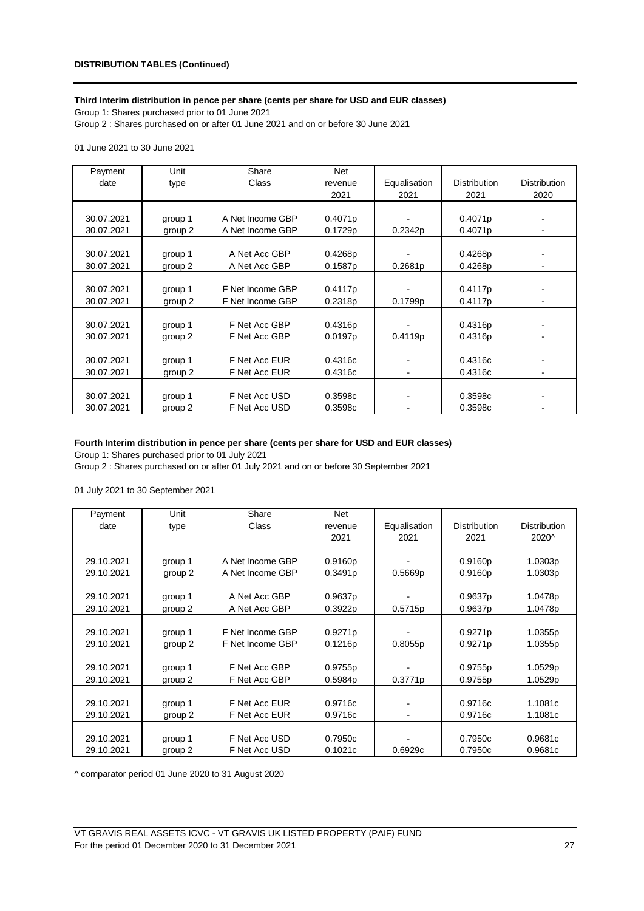## **Third Interim distribution in pence per share (cents per share for USD and EUR classes)**

Group 1: Shares purchased prior to 01 June 2021 Group 2 : Shares purchased on or after 01 June 2021 and on or before 30 June 2021

01 June 2021 to 30 June 2021

| Payment    | Unit    | Share            | <b>Net</b> |              |                     |                     |
|------------|---------|------------------|------------|--------------|---------------------|---------------------|
| date       | type    | Class            | revenue    | Equalisation | <b>Distribution</b> | <b>Distribution</b> |
|            |         |                  | 2021       | 2021         | 2021                | 2020                |
|            |         |                  |            |              |                     |                     |
| 30.07.2021 | group 1 | A Net Income GBP | 0.4071p    |              | 0.4071p             |                     |
| 30.07.2021 | group 2 | A Net Income GBP | 0.1729p    | 0.2342p      | 0.4071p             |                     |
|            |         |                  |            |              |                     |                     |
| 30.07.2021 | group 1 | A Net Acc GBP    | 0.4268p    |              | 0.4268p             |                     |
| 30.07.2021 | group 2 | A Net Acc GBP    | 0.1587p    | 0.2681p      | 0.4268p             |                     |
|            |         |                  |            |              |                     |                     |
| 30.07.2021 | group 1 | F Net Income GBP | 0.4117p    |              | 0.4117p             |                     |
| 30.07.2021 | group 2 | F Net Income GBP | 0.2318p    | 0.1799p      | 0.4117p             |                     |
|            |         |                  |            |              |                     |                     |
| 30.07.2021 | group 1 | F Net Acc GBP    | 0.4316p    |              | 0.4316p             |                     |
| 30.07.2021 | group 2 | F Net Acc GBP    | 0.0197p    | 0.4119p      | 0.4316p             |                     |
|            |         |                  |            |              |                     |                     |
| 30.07.2021 | group 1 | F Net Acc EUR    | 0.4316c    |              | 0.4316c             |                     |
| 30.07.2021 | group 2 | F Net Acc EUR    | 0.4316c    |              | 0.4316c             |                     |
|            |         |                  |            |              |                     |                     |
| 30.07.2021 | group 1 | F Net Acc USD    | 0.3598c    |              | 0.3598c             |                     |
| 30.07.2021 | group 2 | F Net Acc USD    | 0.3598c    |              | 0.3598c             |                     |

## **Fourth Interim distribution in pence per share (cents per share for USD and EUR classes)**

Group 1: Shares purchased prior to 01 July 2021

Group 2 : Shares purchased on or after 01 July 2021 and on or before 30 September 2021

01 July 2021 to 30 September 2021

| Payment    | Unit    | Share            | <b>Net</b> |              |                     |                     |
|------------|---------|------------------|------------|--------------|---------------------|---------------------|
| date       | type    | Class            | revenue    | Equalisation | <b>Distribution</b> | <b>Distribution</b> |
|            |         |                  | 2021       | 2021         | 2021                | 2020^               |
|            |         |                  |            |              |                     |                     |
| 29.10.2021 | group 1 | A Net Income GBP | 0.9160p    |              | 0.9160p             | 1.0303p             |
| 29.10.2021 | group 2 | A Net Income GBP | 0.3491p    | 0.5669p      | 0.9160p             | 1.0303p             |
|            |         |                  |            |              |                     |                     |
| 29.10.2021 | group 1 | A Net Acc GBP    | 0.9637p    |              | 0.9637p             | 1.0478p             |
| 29.10.2021 | group 2 | A Net Acc GBP    | 0.3922p    | 0.5715p      | 0.9637p             | 1.0478p             |
|            |         |                  |            |              |                     |                     |
| 29.10.2021 | group 1 | F Net Income GBP | 0.9271p    |              | 0.9271p             | 1.0355p             |
| 29.10.2021 | group 2 | F Net Income GBP | 0.1216p    | 0.8055p      | 0.9271p             | 1.0355p             |
|            |         |                  |            |              |                     |                     |
| 29.10.2021 | group 1 | F Net Acc GBP    | 0.9755p    |              | 0.9755p             | 1.0529p             |
| 29.10.2021 | group 2 | F Net Acc GBP    | 0.5984p    | 0.3771p      | 0.9755p             | 1.0529p             |
|            |         |                  |            |              |                     |                     |
| 29.10.2021 | group 1 | F Net Acc EUR    | 0.9716c    |              | 0.9716c             | 1.1081c             |
| 29.10.2021 | group 2 | F Net Acc EUR    | 0.9716c    |              | 0.9716c             | 1.1081c             |
|            |         |                  |            |              |                     |                     |
| 29.10.2021 | group 1 | F Net Acc USD    | 0.7950c    |              | 0.7950c             | 0.9681c             |
| 29.10.2021 | group 2 | F Net Acc USD    | 0.1021c    | 0.6929c      | 0.7950c             | 0.9681c             |

^ comparator period 01 June 2020 to 31 August 2020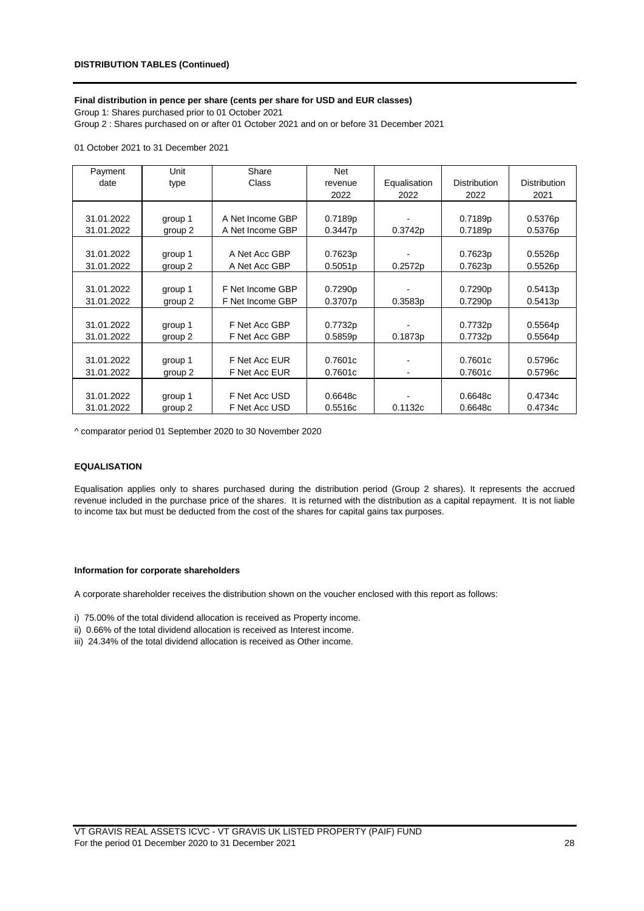## **Final distribution in pence per share (cents per share for USD and EUR classes)**

Group 1: Shares purchased prior to 01 October 2021 Group 2 : Shares purchased on or after 01 October 2021 and on or before 31 December 2021

### 01 October 2021 to 31 December 2021

| Payment    | Unit    | Share            | Net     |              |                     |                     |
|------------|---------|------------------|---------|--------------|---------------------|---------------------|
| date       | type    | Class            | revenue | Equalisation | <b>Distribution</b> | <b>Distribution</b> |
|            |         |                  | 2022    | 2022         | 2022                | 2021                |
|            |         |                  |         |              |                     |                     |
| 31.01.2022 | group 1 | A Net Income GBP | 0.7189p |              | 0.7189p             | 0.5376p             |
| 31.01.2022 | group 2 | A Net Income GBP | 0.3447p | 0.3742p      | 0.7189p             | 0.5376p             |
|            |         |                  |         |              |                     |                     |
| 31.01.2022 | group 1 | A Net Acc GBP    | 0.7623p |              | 0.7623p             | 0.5526p             |
| 31.01.2022 | group 2 | A Net Acc GBP    | 0.5051p | 0.2572p      | 0.7623p             | 0.5526p             |
|            |         |                  |         |              |                     |                     |
| 31.01.2022 | group 1 | F Net Income GBP | 0.7290p |              | 0.7290p             | 0.5413p             |
| 31.01.2022 | group 2 | F Net Income GBP | 0.3707p | 0.3583p      | 0.7290p             | 0.5413p             |
|            |         |                  |         |              |                     |                     |
| 31.01.2022 | group 1 | F Net Acc GBP    | 0.7732p |              | 0.7732p             | 0.5564p             |
| 31.01.2022 | group 2 | F Net Acc GBP    | 0.5859p | 0.1873p      | 0.7732p             | 0.5564p             |
|            |         |                  |         |              |                     |                     |
| 31.01.2022 | group 1 | F Net Acc EUR    | 0.7601c |              | 0.7601c             | 0.5796c             |
| 31.01.2022 | group 2 | F Net Acc EUR    | 0.7601c |              | 0.7601c             | 0.5796c             |
|            |         |                  |         |              |                     |                     |
| 31.01.2022 | group 1 | F Net Acc USD    | 0.6648c |              | 0.6648c             | 0.4734c             |
| 31.01.2022 | group 2 | F Net Acc USD    | 0.5516c | 0.1132c      | 0.6648c             | 0.4734c             |

^ comparator period 01 September 2020 to 30 November 2020

## **EQUALISATION**

Equalisation applies only to shares purchased during the distribution period (Group 2 shares). It represents the accrued revenue included in the purchase price of the shares. It is returned with the distribution as a capital repayment. It is not liable to income tax but must be deducted from the cost of the shares for capital gains tax purposes.

#### **Information for corporate shareholders**

A corporate shareholder receives the distribution shown on the voucher enclosed with this report as follows:

i) 75.00% of the total dividend allocation is received as Property income.

- ii) 0.66% of the total dividend allocation is received as Interest income.
- iii) 24.34% of the total dividend allocation is received as Other income.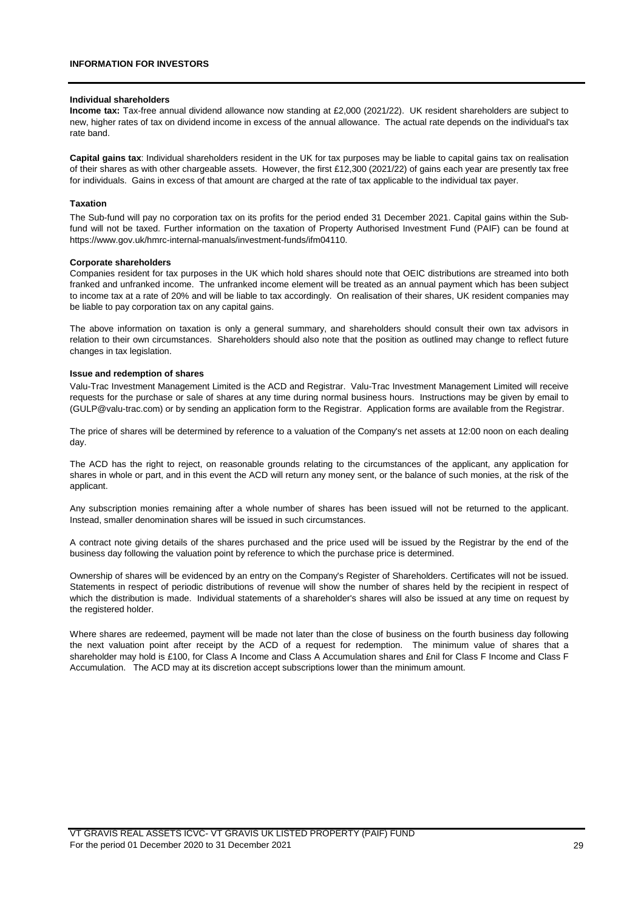#### **Individual shareholders**

**Income tax:** Tax-free annual dividend allowance now standing at £2,000 (2021/22). UK resident shareholders are subject to new, higher rates of tax on dividend income in excess of the annual allowance. The actual rate depends on the individual's tax rate band.

**Capital gains tax**: Individual shareholders resident in the UK for tax purposes may be liable to capital gains tax on realisation of their shares as with other chargeable assets. However, the first £12,300 (2021/22) of gains each year are presently tax free for individuals. Gains in excess of that amount are charged at the rate of tax applicable to the individual tax payer.

#### **Taxation**

The Sub-fund will pay no corporation tax on its profits for the period ended 31 December 2021. Capital gains within the Subfund will not be taxed. Further information on the taxation of Property Authorised Investment Fund (PAIF) can be found at https://www.gov.uk/hmrc-internal-manuals/investment-funds/ifm04110.

#### **Corporate shareholders**

Companies resident for tax purposes in the UK which hold shares should note that OEIC distributions are streamed into both franked and unfranked income. The unfranked income element will be treated as an annual payment which has been subject to income tax at a rate of 20% and will be liable to tax accordingly. On realisation of their shares, UK resident companies may be liable to pay corporation tax on any capital gains.

The above information on taxation is only a general summary, and shareholders should consult their own tax advisors in relation to their own circumstances. Shareholders should also note that the position as outlined may change to reflect future changes in tax legislation.

#### **Issue and redemption of shares**

Valu-Trac Investment Management Limited is the ACD and Registrar. Valu-Trac Investment Management Limited will receive requests for the purchase or sale of shares at any time during normal business hours. Instructions may be given by email to (GULP@valu-trac.com) or by sending an application form to the Registrar. Application forms are available from the Registrar.

The price of shares will be determined by reference to a valuation of the Company's net assets at 12:00 noon on each dealing day.

The ACD has the right to reject, on reasonable grounds relating to the circumstances of the applicant, any application for shares in whole or part, and in this event the ACD will return any money sent, or the balance of such monies, at the risk of the applicant.

Any subscription monies remaining after a whole number of shares has been issued will not be returned to the applicant. Instead, smaller denomination shares will be issued in such circumstances.

A contract note giving details of the shares purchased and the price used will be issued by the Registrar by the end of the business day following the valuation point by reference to which the purchase price is determined.

Ownership of shares will be evidenced by an entry on the Company's Register of Shareholders. Certificates will not be issued. Statements in respect of periodic distributions of revenue will show the number of shares held by the recipient in respect of which the distribution is made. Individual statements of a shareholder's shares will also be issued at any time on request by the registered holder.

Where shares are redeemed, payment will be made not later than the close of business on the fourth business day following the next valuation point after receipt by the ACD of a request for redemption. The minimum value of shares that a shareholder may hold is £100, for Class A Income and Class A Accumulation shares and £nil for Class F Income and Class F Accumulation. The ACD may at its discretion accept subscriptions lower than the minimum amount.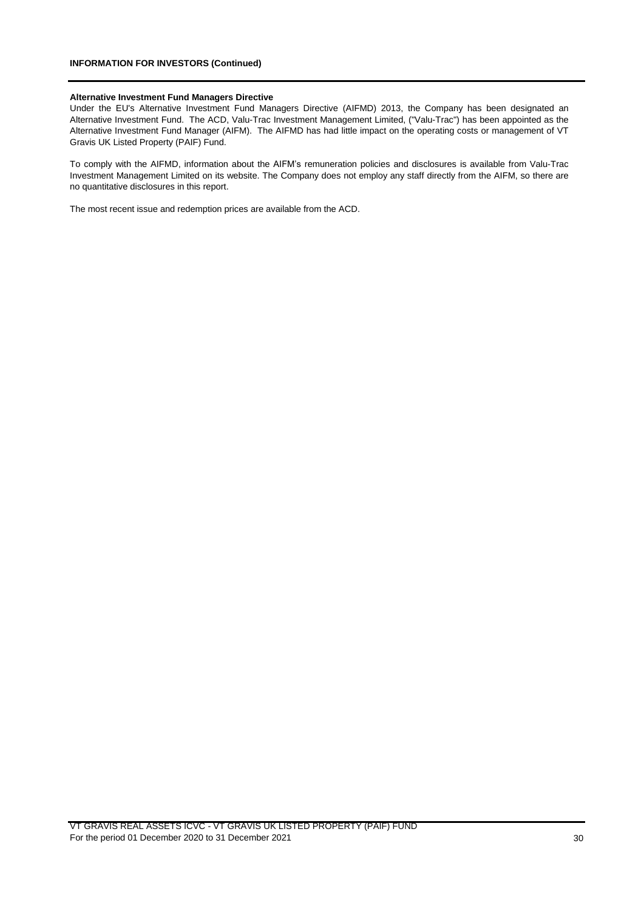#### **Alternative Investment Fund Managers Directive**

Under the EU's Alternative Investment Fund Managers Directive (AIFMD) 2013, the Company has been designated an Alternative Investment Fund. The ACD, Valu-Trac Investment Management Limited, ("Valu-Trac") has been appointed as the Alternative Investment Fund Manager (AIFM). The AIFMD has had little impact on the operating costs or management of VT Gravis UK Listed Property (PAIF) Fund.

To comply with the AIFMD, information about the AIFM's remuneration policies and disclosures is available from Valu-Trac Investment Management Limited on its website. The Company does not employ any staff directly from the AIFM, so there are no quantitative disclosures in this report.

The most recent issue and redemption prices are available from the ACD.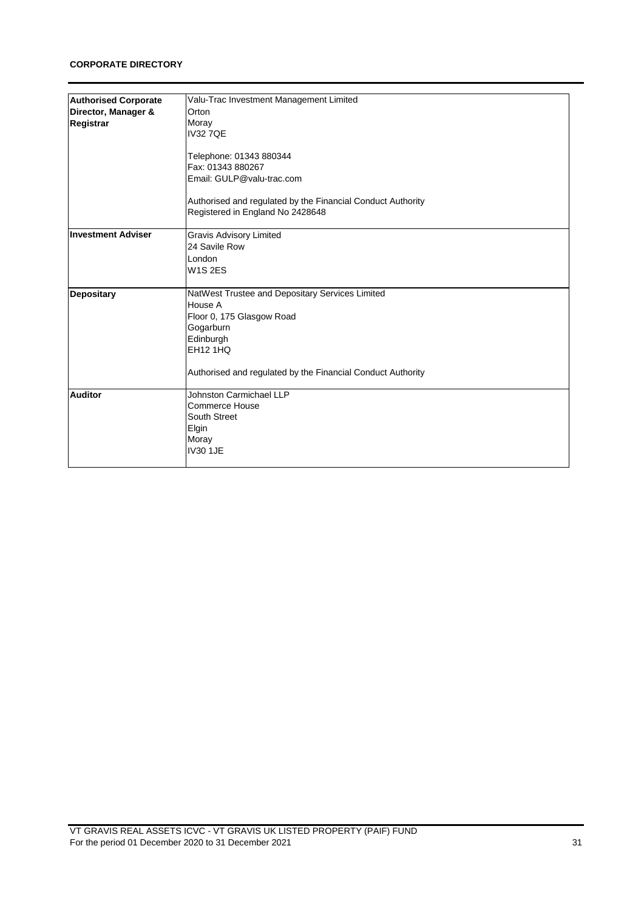## **CORPORATE DIRECTORY**

| <b>Authorised Corporate</b> | Valu-Trac Investment Management Limited                     |
|-----------------------------|-------------------------------------------------------------|
| Director, Manager &         | Orton                                                       |
|                             | Moray                                                       |
| Registrar                   | <b>IV327QE</b>                                              |
|                             |                                                             |
|                             |                                                             |
|                             | Telephone: 01343 880344                                     |
|                             | Fax: 01343 880267                                           |
|                             | Email: GULP@valu-trac.com                                   |
|                             | Authorised and regulated by the Financial Conduct Authority |
|                             | Registered in England No 2428648                            |
| <b>Investment Adviser</b>   | <b>Gravis Advisory Limited</b>                              |
|                             | 24 Savile Row                                               |
|                             | London                                                      |
|                             | <b>W1S2ES</b>                                               |
|                             |                                                             |
| <b>Depositary</b>           | NatWest Trustee and Depositary Services Limited             |
|                             | House A                                                     |
|                             | Floor 0, 175 Glasgow Road                                   |
|                             | Gogarburn                                                   |
|                             | Edinburgh                                                   |
|                             | <b>EH12 1HQ</b>                                             |
|                             | Authorised and regulated by the Financial Conduct Authority |
|                             |                                                             |
| <b>Auditor</b>              | Johnston Carmichael LLP                                     |
|                             | Commerce House                                              |
|                             | South Street                                                |
|                             | Elgin                                                       |
|                             | Moray                                                       |
|                             | <b>IV30 1JE</b>                                             |
|                             |                                                             |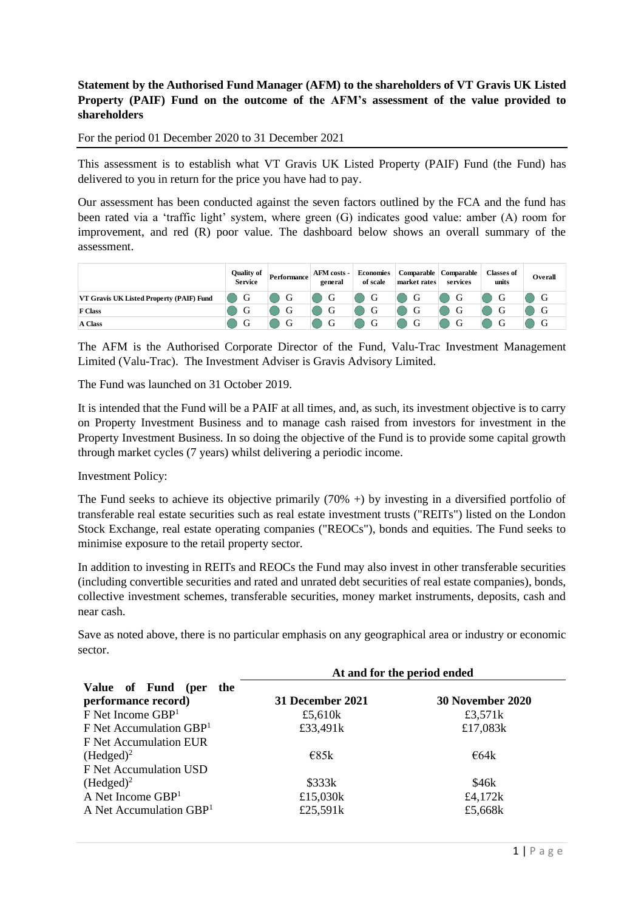# **Statement by the Authorised Fund Manager (AFM) to the shareholders of VT Gravis UK Listed Property (PAIF) Fund on the outcome of the AFM's assessment of the value provided to shareholders**

For the period 01 December 2020 to 31 December 2021

This assessment is to establish what VT Gravis UK Listed Property (PAIF) Fund (the Fund) has delivered to you in return for the price you have had to pay.

Our assessment has been conducted against the seven factors outlined by the FCA and the fund has been rated via a 'traffic light' system, where green (G) indicates good value: amber (A) room for improvement, and red (R) poor value. The dashboard below shows an overall summary of the assessment.

|                                          | <b>Ouality of</b><br><b>Service</b> | Performance | <b>AFM</b> costs -<br>general | Economies<br>of scale | market rates | Comparable   Comparable<br>services | <b>Classes of</b><br>units | Overall |
|------------------------------------------|-------------------------------------|-------------|-------------------------------|-----------------------|--------------|-------------------------------------|----------------------------|---------|
| VT Gravis UK Listed Property (PAIF) Fund | G                                   | G           | G                             | G                     | G            | G                                   |                            |         |
| <b>F</b> Class                           |                                     | G           |                               | G                     |              | Ü                                   |                            |         |
| A Class                                  |                                     | G           | U                             | G                     | G            | СŤ                                  |                            |         |

The AFM is the Authorised Corporate Director of the Fund, Valu-Trac Investment Management Limited (Valu-Trac). The Investment Adviser is Gravis Advisory Limited.

The Fund was launched on 31 October 2019.

It is intended that the Fund will be a PAIF at all times, and, as such, its investment objective is to carry on Property Investment Business and to manage cash raised from investors for investment in the Property Investment Business. In so doing the objective of the Fund is to provide some capital growth through market cycles (7 years) whilst delivering a periodic income.

Investment Policy:

The Fund seeks to achieve its objective primarily  $(70\% +)$  by investing in a diversified portfolio of transferable real estate securities such as real estate investment trusts ("REITs") listed on the London Stock Exchange, real estate operating companies ("REOCs"), bonds and equities. The Fund seeks to minimise exposure to the retail property sector.

In addition to investing in REITs and REOCs the Fund may also invest in other transferable securities (including convertible securities and rated and unrated debt securities of real estate companies), bonds, collective investment schemes, transferable securities, money market instruments, deposits, cash and near cash.

Save as noted above, there is no particular emphasis on any geographical area or industry or economic sector.

|                                     | At and for the period ended |                         |  |  |
|-------------------------------------|-----------------------------|-------------------------|--|--|
| Value of Fund (per<br>the           |                             |                         |  |  |
| performance record)                 | 31 December 2021            | <b>30 November 2020</b> |  |  |
| $F$ Net Income $GBP1$               | £5,610 $k$                  | £3,571 $k$              |  |  |
| F Net Accumulation GBP <sup>1</sup> | £33,491k                    | £17,083 $k$             |  |  |
| F Net Accumulation EUR              |                             |                         |  |  |
| $(Hedged)^2$                        | $\epsilon$ 85k              | $\epsilon$ 64k          |  |  |
| F Net Accumulation USD              |                             |                         |  |  |
| $(Hedged)^2$                        | \$333k                      | \$46k                   |  |  |
| A Net Income $GBP1$                 | £15,030 $k$                 | £4,172 $k$              |  |  |
| A Net Accumulation GBP <sup>1</sup> | £25,591k                    | £5,668k                 |  |  |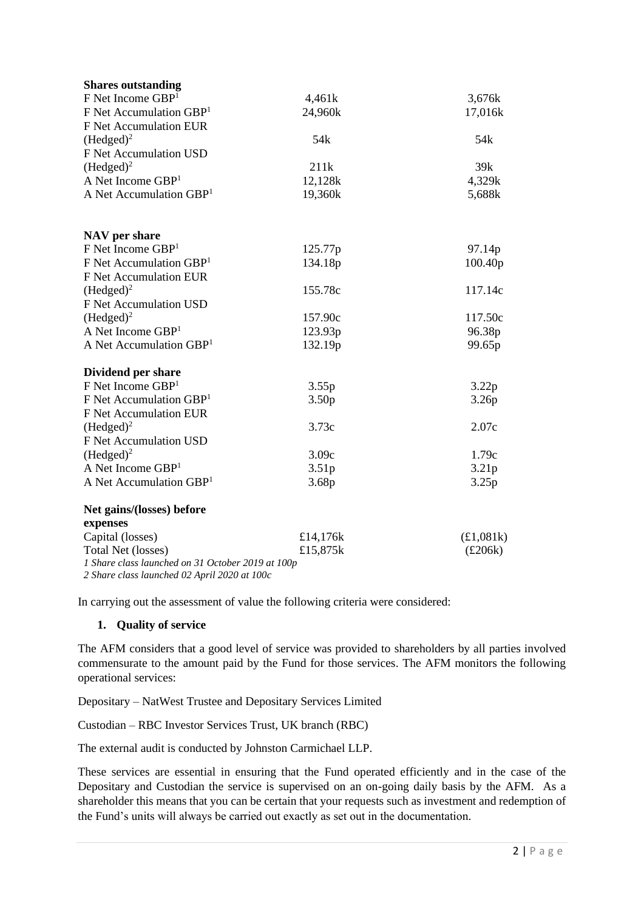| <b>Shares outstanding</b>                                                   |                   |                  |
|-----------------------------------------------------------------------------|-------------------|------------------|
| F Net Income GBP <sup>1</sup>                                               | 4,461k            | 3,676k           |
| $F$ Net Accumulation GBP <sup>1</sup>                                       | 24,960k           | 17,016k          |
| F Net Accumulation EUR                                                      |                   |                  |
| (Hedged) <sup>2</sup>                                                       | 54 <sub>k</sub>   | 54 <sub>k</sub>  |
| F Net Accumulation USD                                                      |                   |                  |
| (Hedged) <sup>2</sup>                                                       | 211k              | 39k              |
| A Net Income $GBP1$                                                         | 12,128k           | 4,329k           |
| A Net Accumulation GBP <sup>1</sup>                                         | 19,360k           | 5,688k           |
| NAV per share                                                               |                   |                  |
| F Net Income GBP <sup>1</sup>                                               | 125.77p           | 97.14p           |
| $F$ Net Accumulation GBP <sup>1</sup>                                       | 134.18p           | 100.40p          |
| F Net Accumulation EUR                                                      |                   |                  |
| (Hedged) <sup>2</sup>                                                       | 155.78c           | 117.14c          |
| F Net Accumulation USD                                                      |                   |                  |
| (Hedged) <sup>2</sup>                                                       | 157.90c           | 117.50c          |
| A Net Income $GBP1$                                                         | 123.93p           | 96.38p           |
| A Net Accumulation GBP <sup>1</sup>                                         | 132.19p           | 99.65p           |
| Dividend per share                                                          |                   |                  |
| $F$ Net Income $GBP1$                                                       | 3.55p             | 3.22p            |
| F Net Accumulation GBP <sup>1</sup>                                         | 3.50 <sub>p</sub> | 3.26p            |
| F Net Accumulation EUR                                                      |                   |                  |
| (Hedged) <sup>2</sup>                                                       | 3.73c             | 2.07c            |
| F Net Accumulation USD                                                      |                   |                  |
| $(Hedged)^2$                                                                | 3.09c             | 1.79c            |
| A Net Income GBP <sup>1</sup>                                               | 3.51p             | 3.21p            |
| A Net Accumulation GBP <sup>1</sup>                                         | 3.68p             | 3.25p            |
| Net gains/(losses) before                                                   |                   |                  |
| expenses                                                                    |                   |                  |
| Capital (losses)                                                            | £14,176k          | (E1,081k)        |
| Total Net (losses)                                                          | £15,875k          | $(\pounds 206k)$ |
| 1 Share class launched on 31 October 2019 at 100p<br>$2.51111.102412020100$ |                   |                  |

*2 Share class launched 02 April 2020 at 100c* 

In carrying out the assessment of value the following criteria were considered:

# **1. Quality of service**

The AFM considers that a good level of service was provided to shareholders by all parties involved commensurate to the amount paid by the Fund for those services. The AFM monitors the following operational services:

Depositary – NatWest Trustee and Depositary Services Limited

Custodian – RBC Investor Services Trust, UK branch (RBC)

The external audit is conducted by Johnston Carmichael LLP.

These services are essential in ensuring that the Fund operated efficiently and in the case of the Depositary and Custodian the service is supervised on an on-going daily basis by the AFM. As a shareholder this means that you can be certain that your requests such as investment and redemption of the Fund's units will always be carried out exactly as set out in the documentation.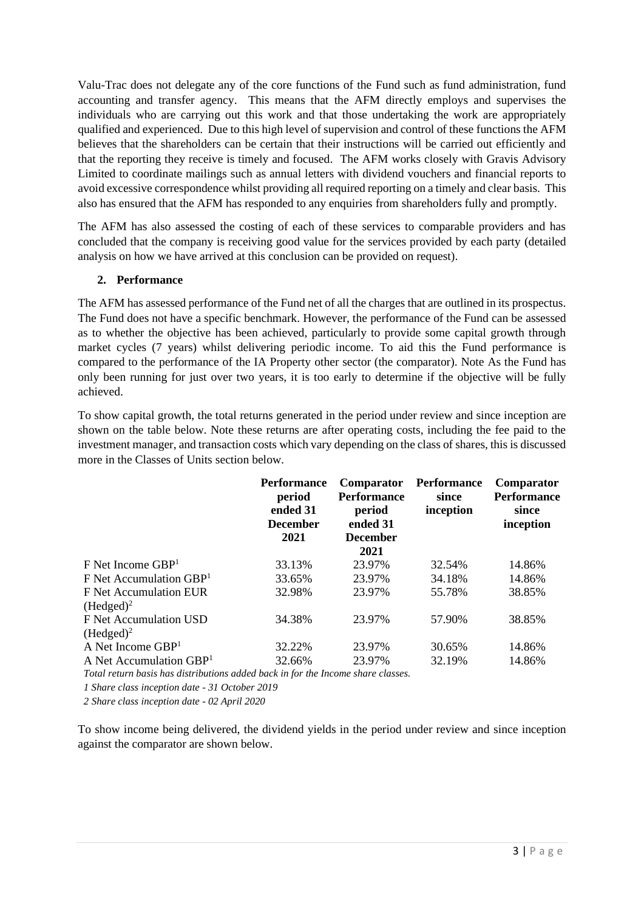Valu-Trac does not delegate any of the core functions of the Fund such as fund administration, fund accounting and transfer agency. This means that the AFM directly employs and supervises the individuals who are carrying out this work and that those undertaking the work are appropriately qualified and experienced. Due to this high level of supervision and control of these functions the AFM believes that the shareholders can be certain that their instructions will be carried out efficiently and that the reporting they receive is timely and focused. The AFM works closely with Gravis Advisory Limited to coordinate mailings such as annual letters with dividend vouchers and financial reports to avoid excessive correspondence whilst providing all required reporting on a timely and clear basis. This also has ensured that the AFM has responded to any enquiries from shareholders fully and promptly.

The AFM has also assessed the costing of each of these services to comparable providers and has concluded that the company is receiving good value for the services provided by each party (detailed analysis on how we have arrived at this conclusion can be provided on request).

# **2. Performance**

The AFM has assessed performance of the Fund net of all the charges that are outlined in its prospectus. The Fund does not have a specific benchmark. However, the performance of the Fund can be assessed as to whether the objective has been achieved, particularly to provide some capital growth through market cycles (7 years) whilst delivering periodic income. To aid this the Fund performance is compared to the performance of the IA Property other sector (the comparator). Note As the Fund has only been running for just over two years, it is too early to determine if the objective will be fully achieved.

To show capital growth, the total returns generated in the period under review and since inception are shown on the table below. Note these returns are after operating costs, including the fee paid to the investment manager, and transaction costs which vary depending on the class of shares, this is discussed more in the Classes of Units section below.

|                                       | <b>Performance</b><br>period<br>ended 31<br><b>December</b><br>2021 | Comparator<br><b>Performance</b><br>period<br>ended 31<br><b>December</b><br>2021 | <b>Performance</b><br>since<br>inception | Comparator<br><b>Performance</b><br>since<br>inception |
|---------------------------------------|---------------------------------------------------------------------|-----------------------------------------------------------------------------------|------------------------------------------|--------------------------------------------------------|
| $F$ Net Income GBP <sup>1</sup>       | 33.13%                                                              | 23.97%                                                                            | 32.54%                                   | 14.86%                                                 |
| $F$ Net Accumulation GBP <sup>1</sup> | 33.65%                                                              | 23.97%                                                                            | 34.18%                                   | 14.86%                                                 |
| F Net Accumulation EUR                | 32.98%                                                              | 23.97%                                                                            | 55.78%                                   | 38.85%                                                 |
| $(Hedged)^2$                          |                                                                     |                                                                                   |                                          |                                                        |
| F Net Accumulation USD                | 34.38%                                                              | 23.97%                                                                            | 57.90%                                   | 38.85%                                                 |
| $(Hedged)^2$                          |                                                                     |                                                                                   |                                          |                                                        |
| A Net Income $GBP1$                   | 32.22%                                                              | 23.97%                                                                            | 30.65%                                   | 14.86%                                                 |
| A Net Accumulation GBP <sup>1</sup>   | 32.66%                                                              | 23.97%                                                                            | 32.19%                                   | 14.86%                                                 |
|                                       |                                                                     |                                                                                   |                                          |                                                        |

*Total return basis has distributions added back in for the Income share classes.*

*1 Share class inception date - 31 October 2019* 

*2 Share class inception date - 02 April 2020*

To show income being delivered, the dividend yields in the period under review and since inception against the comparator are shown below.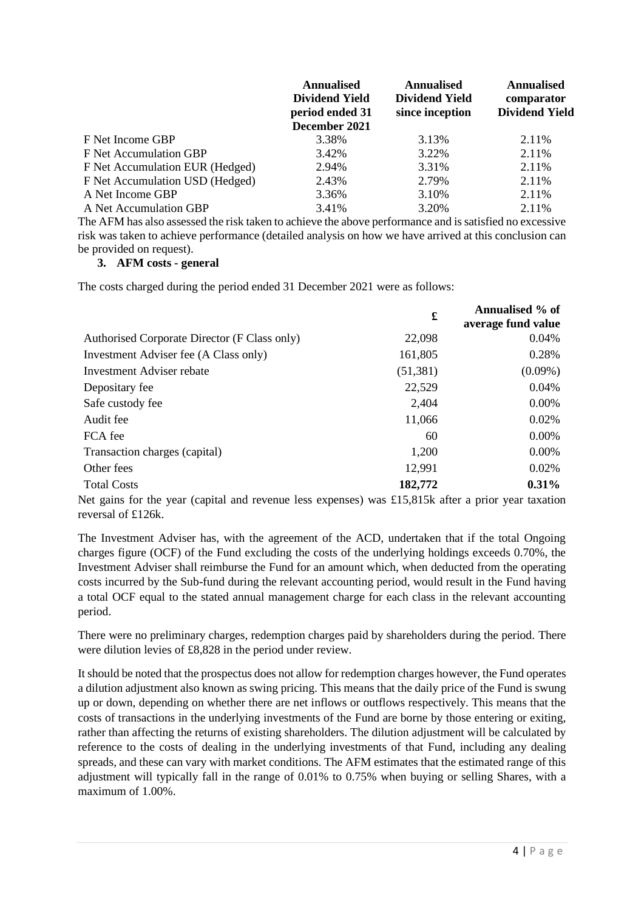|                                 | <b>Annualised</b><br><b>Dividend Yield</b><br>period ended 31<br>December 2021 | <b>Annualised</b><br><b>Dividend Yield</b><br>since inception | <b>Annualised</b><br>comparator<br><b>Dividend Yield</b> |
|---------------------------------|--------------------------------------------------------------------------------|---------------------------------------------------------------|----------------------------------------------------------|
| F Net Income GBP                | 3.38%                                                                          | 3.13%                                                         | 2.11%                                                    |
| F Net Accumulation GBP          | 3.42%                                                                          | 3.22%                                                         | 2.11%                                                    |
| F Net Accumulation EUR (Hedged) | 2.94%                                                                          | 3.31%                                                         | 2.11%                                                    |
| F Net Accumulation USD (Hedged) | 2.43%                                                                          | 2.79%                                                         | 2.11%                                                    |
| A Net Income GBP                | 3.36%                                                                          | 3.10%                                                         | 2.11%                                                    |
| A Net Accumulation GBP          | 3.41%                                                                          | 3.20%                                                         | 2.11%                                                    |

The AFM has also assessed the risk taken to achieve the above performance and is satisfied no excessive risk was taken to achieve performance (detailed analysis on how we have arrived at this conclusion can be provided on request).

# **3. AFM costs - general**

The costs charged during the period ended 31 December 2021 were as follows:

|                                              | £         | Annualised % of<br>average fund value |
|----------------------------------------------|-----------|---------------------------------------|
| Authorised Corporate Director (F Class only) | 22,098    | 0.04%                                 |
| Investment Adviser fee (A Class only)        | 161,805   | 0.28%                                 |
| Investment Adviser rebate                    | (51, 381) | $(0.09\%)$                            |
| Depositary fee                               | 22,529    | 0.04%                                 |
| Safe custody fee                             | 2,404     | 0.00%                                 |
| Audit fee                                    | 11,066    | 0.02%                                 |
| FCA fee                                      | 60        | $0.00\%$                              |
| Transaction charges (capital)                | 1,200     | $0.00\%$                              |
| Other fees                                   | 12,991    | 0.02%                                 |
| <b>Total Costs</b>                           | 182,772   | $0.31\%$                              |

Net gains for the year (capital and revenue less expenses) was £15,815k after a prior year taxation reversal of £126k.

The Investment Adviser has, with the agreement of the ACD, undertaken that if the total Ongoing charges figure (OCF) of the Fund excluding the costs of the underlying holdings exceeds 0.70%, the Investment Adviser shall reimburse the Fund for an amount which, when deducted from the operating costs incurred by the Sub-fund during the relevant accounting period, would result in the Fund having a total OCF equal to the stated annual management charge for each class in the relevant accounting period.

There were no preliminary charges, redemption charges paid by shareholders during the period. There were dilution levies of £8,828 in the period under review.

It should be noted that the prospectus does not allow for redemption charges however, the Fund operates a dilution adjustment also known as swing pricing. This means that the daily price of the Fund is swung up or down, depending on whether there are net inflows or outflows respectively. This means that the costs of transactions in the underlying investments of the Fund are borne by those entering or exiting, rather than affecting the returns of existing shareholders. The dilution adjustment will be calculated by reference to the costs of dealing in the underlying investments of that Fund, including any dealing spreads, and these can vary with market conditions. The AFM estimates that the estimated range of this adjustment will typically fall in the range of 0.01% to 0.75% when buying or selling Shares, with a maximum of 1.00%.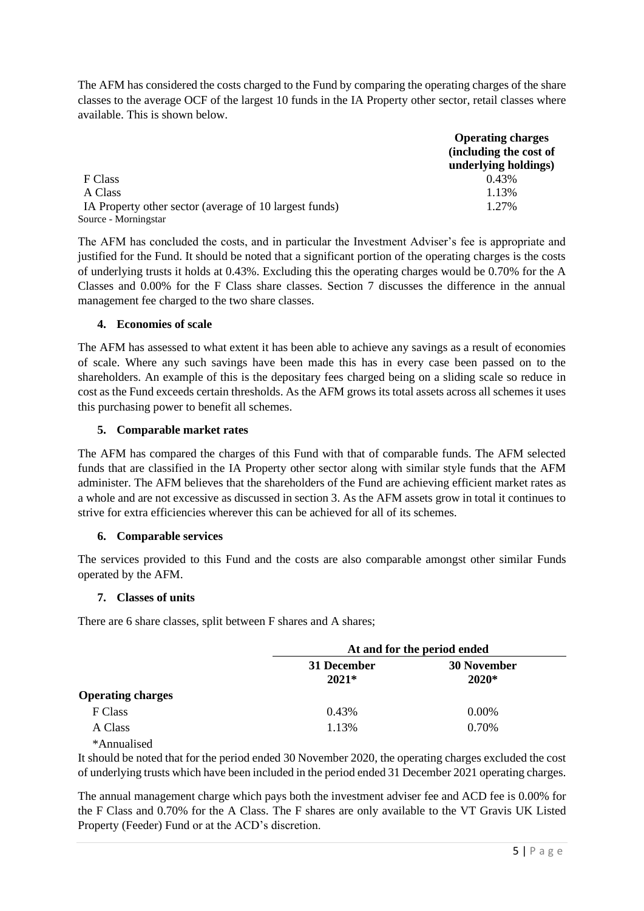The AFM has considered the costs charged to the Fund by comparing the operating charges of the share classes to the average OCF of the largest 10 funds in the IA Property other sector, retail classes where available. This is shown below.

|                                                        | <b>Operating charges</b> |
|--------------------------------------------------------|--------------------------|
|                                                        | (including the cost of   |
|                                                        | underlying holdings)     |
| F Class                                                | 0.43%                    |
| A Class                                                | 1.13%                    |
| IA Property other sector (average of 10 largest funds) | 1.27%                    |
| Source - Morningstar                                   |                          |

The AFM has concluded the costs, and in particular the Investment Adviser's fee is appropriate and justified for the Fund. It should be noted that a significant portion of the operating charges is the costs of underlying trusts it holds at 0.43%. Excluding this the operating charges would be 0.70% for the A Classes and 0.00% for the F Class share classes. Section 7 discusses the difference in the annual management fee charged to the two share classes.

# **4. Economies of scale**

The AFM has assessed to what extent it has been able to achieve any savings as a result of economies of scale. Where any such savings have been made this has in every case been passed on to the shareholders. An example of this is the depositary fees charged being on a sliding scale so reduce in cost as the Fund exceeds certain thresholds. As the AFM grows its total assets across all schemes it uses this purchasing power to benefit all schemes.

# **5. Comparable market rates**

The AFM has compared the charges of this Fund with that of comparable funds. The AFM selected funds that are classified in the IA Property other sector along with similar style funds that the AFM administer. The AFM believes that the shareholders of the Fund are achieving efficient market rates as a whole and are not excessive as discussed in section 3. As the AFM assets grow in total it continues to strive for extra efficiencies wherever this can be achieved for all of its schemes.

# **6. Comparable services**

The services provided to this Fund and the costs are also comparable amongst other similar Funds operated by the AFM.

# **7. Classes of units**

There are 6 share classes, split between F shares and A shares;

|                          | At and for the period ended |                               |  |  |  |  |
|--------------------------|-----------------------------|-------------------------------|--|--|--|--|
|                          | 31 December<br>$2021*$      | <b>30 November</b><br>$2020*$ |  |  |  |  |
| <b>Operating charges</b> |                             |                               |  |  |  |  |
| F Class                  | 0.43%                       | 0.00%                         |  |  |  |  |
| A Class                  | 1.13%                       | 0.70%                         |  |  |  |  |

\*Annualised

It should be noted that for the period ended 30 November 2020, the operating charges excluded the cost of underlying trusts which have been included in the period ended 31 December 2021 operating charges.

The annual management charge which pays both the investment adviser fee and ACD fee is 0.00% for the F Class and 0.70% for the A Class. The F shares are only available to the VT Gravis UK Listed Property (Feeder) Fund or at the ACD's discretion.